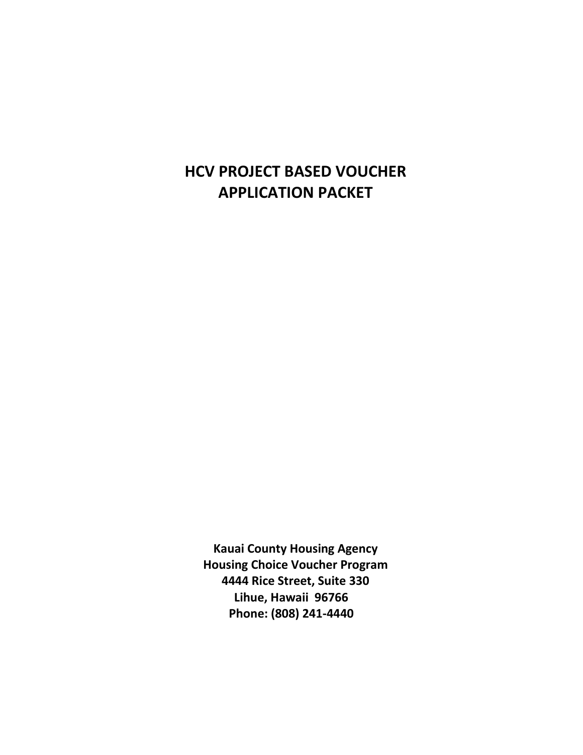# **HCV PROJECT BASED VOUCHER APPLICATION PACKET**

**Kauai County Housing Agency Housing Choice Voucher Program 4444 Rice Street, Suite 330 Lihue, Hawaii 96766 Phone: (808) 241-4440**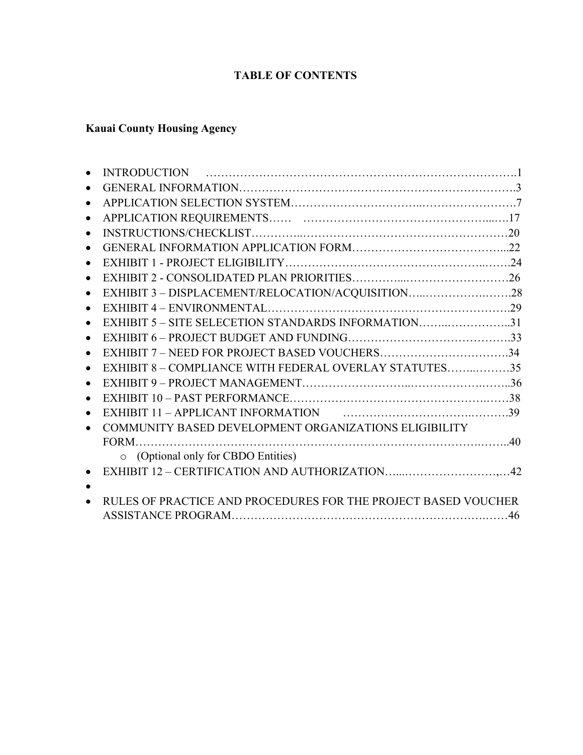# **TABLE OF CONTENTS**

# **Kauai County Housing Agency**

| $\bullet$ |                                                                |  |
|-----------|----------------------------------------------------------------|--|
| $\bullet$ |                                                                |  |
| $\bullet$ |                                                                |  |
| $\bullet$ |                                                                |  |
| $\bullet$ |                                                                |  |
| $\bullet$ | EXHIBIT 3 - DISPLACEMENT/RELOCATION/ACQUISITION28              |  |
| $\bullet$ |                                                                |  |
| $\bullet$ | EXHIBIT 5 – SITE SELECETION STANDARDS INFORMATION31            |  |
| $\bullet$ |                                                                |  |
| $\bullet$ | EXHIBIT 7 - NEED FOR PROJECT BASED VOUCHERS34                  |  |
| $\bullet$ | EXHIBIT 8 - COMPLIANCE WITH FEDERAL OVERLAY STATUTES35         |  |
| $\bullet$ |                                                                |  |
| $\bullet$ |                                                                |  |
| $\bullet$ |                                                                |  |
|           | COMMUNITY BASED DEVELOPMENT ORGANIZATIONS ELIGIBILITY          |  |
|           |                                                                |  |
|           | o (Optional only for CBDO Entities)                            |  |
|           |                                                                |  |
|           |                                                                |  |
|           | RULES OF PRACTICE AND PROCEDURES FOR THE PROJECT BASED VOUCHER |  |
|           |                                                                |  |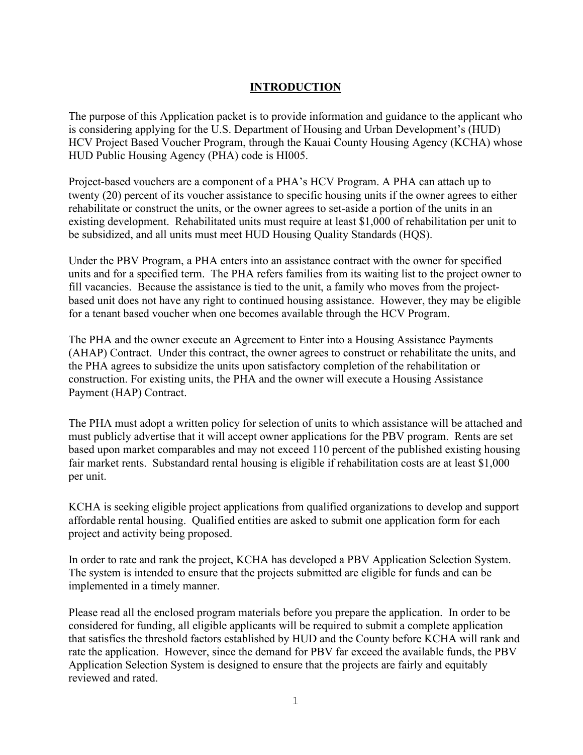# **INTRODUCTION**

The purpose of this Application packet is to provide information and guidance to the applicant who is considering applying for the U.S. Department of Housing and Urban Development's (HUD) HCV Project Based Voucher Program, through the Kauai County Housing Agency (KCHA) whose HUD Public Housing Agency (PHA) code is HI005.

Project-based vouchers are a component of a PHA's HCV Program. A PHA can attach up to twenty (20) percent of its voucher assistance to specific housing units if the owner agrees to either rehabilitate or construct the units, or the owner agrees to set-aside a portion of the units in an existing development. Rehabilitated units must require at least \$1,000 of rehabilitation per unit to be subsidized, and all units must meet HUD Housing Quality Standards (HQS).

Under the PBV Program, a PHA enters into an assistance contract with the owner for specified units and for a specified term. The PHA refers families from its waiting list to the project owner to fill vacancies. Because the assistance is tied to the unit, a family who moves from the projectbased unit does not have any right to continued housing assistance. However, they may be eligible for a tenant based voucher when one becomes available through the HCV Program.

The PHA and the owner execute an Agreement to Enter into a Housing Assistance Payments (AHAP) Contract. Under this contract, the owner agrees to construct or rehabilitate the units, and the PHA agrees to subsidize the units upon satisfactory completion of the rehabilitation or construction. For existing units, the PHA and the owner will execute a Housing Assistance Payment (HAP) Contract.

The PHA must adopt a written policy for selection of units to which assistance will be attached and must publicly advertise that it will accept owner applications for the PBV program. Rents are set based upon market comparables and may not exceed 110 percent of the published existing housing fair market rents. Substandard rental housing is eligible if rehabilitation costs are at least \$1,000 per unit.

KCHA is seeking eligible project applications from qualified organizations to develop and support affordable rental housing. Qualified entities are asked to submit one application form for each project and activity being proposed.

In order to rate and rank the project, KCHA has developed a PBV Application Selection System. The system is intended to ensure that the projects submitted are eligible for funds and can be implemented in a timely manner.

Please read all the enclosed program materials before you prepare the application. In order to be considered for funding, all eligible applicants will be required to submit a complete application that satisfies the threshold factors established by HUD and the County before KCHA will rank and rate the application. However, since the demand for PBV far exceed the available funds, the PBV Application Selection System is designed to ensure that the projects are fairly and equitably reviewed and rated.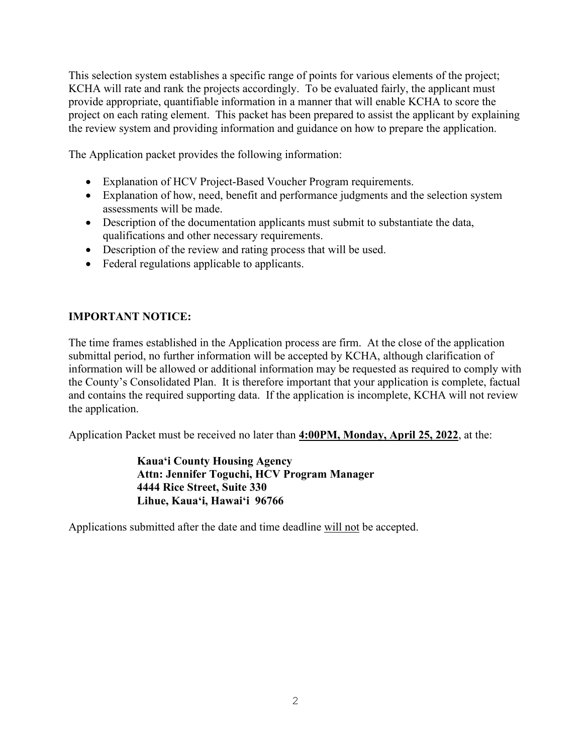This selection system establishes a specific range of points for various elements of the project; KCHA will rate and rank the projects accordingly. To be evaluated fairly, the applicant must provide appropriate, quantifiable information in a manner that will enable KCHA to score the project on each rating element. This packet has been prepared to assist the applicant by explaining the review system and providing information and guidance on how to prepare the application.

The Application packet provides the following information:

- Explanation of HCV Project-Based Voucher Program requirements.
- Explanation of how, need, benefit and performance judgments and the selection system assessments will be made.
- Description of the documentation applicants must submit to substantiate the data, qualifications and other necessary requirements.
- Description of the review and rating process that will be used.
- Federal regulations applicable to applicants.

# **IMPORTANT NOTICE:**

The time frames established in the Application process are firm. At the close of the application submittal period, no further information will be accepted by KCHA, although clarification of information will be allowed or additional information may be requested as required to comply with the County's Consolidated Plan. It is therefore important that your application is complete, factual and contains the required supporting data. If the application is incomplete, KCHA will not review the application.

Application Packet must be received no later than **4:00PM, Monday, April 25, 2022**, at the:

 **Kaua'i County Housing Agency Attn: Jennifer Toguchi, HCV Program Manager 4444 Rice Street, Suite 330 Lihue, Kaua'i, Hawai'i 96766** 

Applications submitted after the date and time deadline will not be accepted.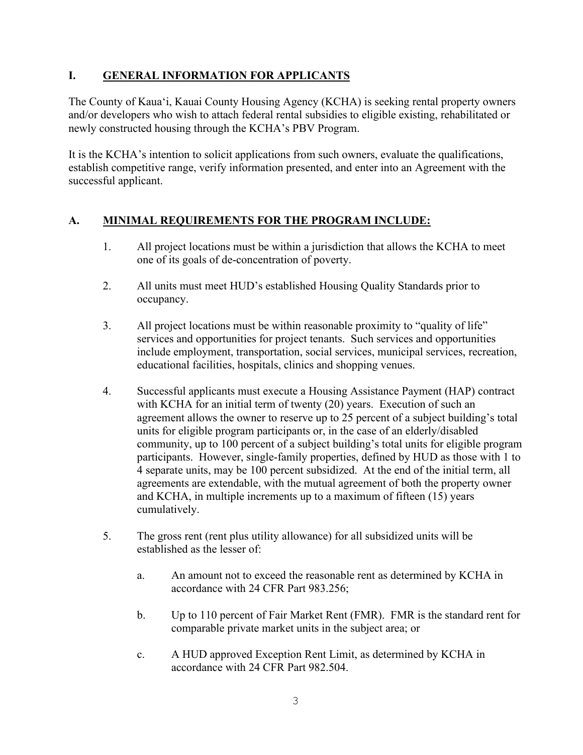# **I. GENERAL INFORMATION FOR APPLICANTS**

The County of Kaua'i, Kauai County Housing Agency (KCHA) is seeking rental property owners and/or developers who wish to attach federal rental subsidies to eligible existing, rehabilitated or newly constructed housing through the KCHA's PBV Program.

It is the KCHA's intention to solicit applications from such owners, evaluate the qualifications, establish competitive range, verify information presented, and enter into an Agreement with the successful applicant.

# **A. MINIMAL REQUIREMENTS FOR THE PROGRAM INCLUDE:**

- 1. All project locations must be within a jurisdiction that allows the KCHA to meet one of its goals of de-concentration of poverty.
- 2. All units must meet HUD's established Housing Quality Standards prior to occupancy.
- 3. All project locations must be within reasonable proximity to "quality of life" services and opportunities for project tenants. Such services and opportunities include employment, transportation, social services, municipal services, recreation, educational facilities, hospitals, clinics and shopping venues.
- 4. Successful applicants must execute a Housing Assistance Payment (HAP) contract with KCHA for an initial term of twenty (20) years. Execution of such an agreement allows the owner to reserve up to 25 percent of a subject building's total units for eligible program participants or, in the case of an elderly/disabled community, up to 100 percent of a subject building's total units for eligible program participants. However, single-family properties, defined by HUD as those with 1 to 4 separate units, may be 100 percent subsidized. At the end of the initial term, all agreements are extendable, with the mutual agreement of both the property owner and KCHA, in multiple increments up to a maximum of fifteen (15) years cumulatively.
- 5. The gross rent (rent plus utility allowance) for all subsidized units will be established as the lesser of:
	- a. An amount not to exceed the reasonable rent as determined by KCHA in accordance with 24 CFR Part 983.256;
	- b. Up to 110 percent of Fair Market Rent (FMR). FMR is the standard rent for comparable private market units in the subject area; or
	- c. A HUD approved Exception Rent Limit, as determined by KCHA in accordance with 24 CFR Part 982.504.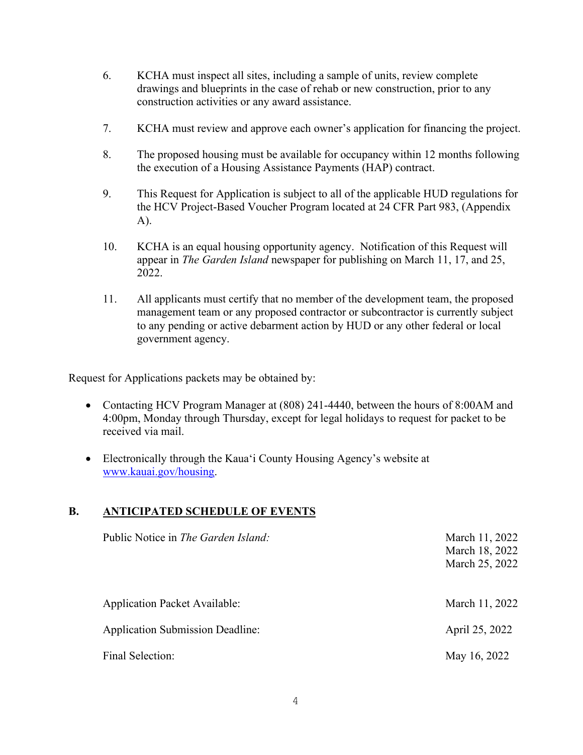- 6. KCHA must inspect all sites, including a sample of units, review complete drawings and blueprints in the case of rehab or new construction, prior to any construction activities or any award assistance.
- 7. KCHA must review and approve each owner's application for financing the project.
- 8. The proposed housing must be available for occupancy within 12 months following the execution of a Housing Assistance Payments (HAP) contract.
- 9. This Request for Application is subject to all of the applicable HUD regulations for the HCV Project-Based Voucher Program located at 24 CFR Part 983, (Appendix A).
- 10. KCHA is an equal housing opportunity agency. Notification of this Request will appear in *The Garden Island* newspaper for publishing on March 11, 17, and 25, 2022.
- 11. All applicants must certify that no member of the development team, the proposed management team or any proposed contractor or subcontractor is currently subject to any pending or active debarment action by HUD or any other federal or local government agency.

Request for Applications packets may be obtained by:

- Contacting HCV Program Manager at (808) 241-4440, between the hours of 8:00 AM and 4:00pm, Monday through Thursday, except for legal holidays to request for packet to be received via mail.
- Electronically through the Kaua'i County Housing Agency's website at [www.kauai.gov/housing.](http://www.kauai.gov/housing)

# **B. ANTICIPATED SCHEDULE OF EVENTS**

| Public Notice in The Garden Island:     | March 11, 2022<br>March 18, 2022<br>March 25, 2022 |
|-----------------------------------------|----------------------------------------------------|
| <b>Application Packet Available:</b>    | March 11, 2022                                     |
| <b>Application Submission Deadline:</b> | April 25, 2022                                     |
| Final Selection:                        | May 16, 2022                                       |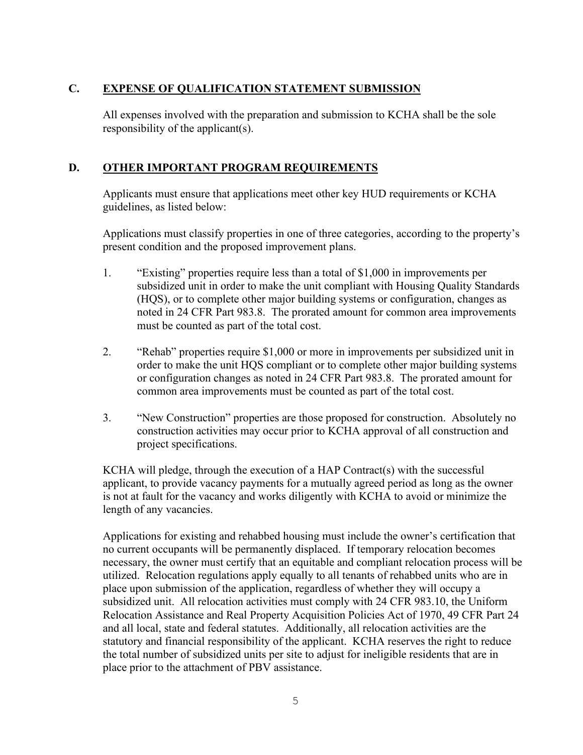# **C. EXPENSE OF QUALIFICATION STATEMENT SUBMISSION**

All expenses involved with the preparation and submission to KCHA shall be the sole responsibility of the applicant(s).

# **D. OTHER IMPORTANT PROGRAM REQUIREMENTS**

Applicants must ensure that applications meet other key HUD requirements or KCHA guidelines, as listed below:

Applications must classify properties in one of three categories, according to the property's present condition and the proposed improvement plans.

- 1. "Existing" properties require less than a total of \$1,000 in improvements per subsidized unit in order to make the unit compliant with Housing Quality Standards (HQS), or to complete other major building systems or configuration, changes as noted in 24 CFR Part 983.8. The prorated amount for common area improvements must be counted as part of the total cost.
- 2. "Rehab" properties require \$1,000 or more in improvements per subsidized unit in order to make the unit HQS compliant or to complete other major building systems or configuration changes as noted in 24 CFR Part 983.8. The prorated amount for common area improvements must be counted as part of the total cost.
- 3. "New Construction" properties are those proposed for construction. Absolutely no construction activities may occur prior to KCHA approval of all construction and project specifications.

KCHA will pledge, through the execution of a HAP Contract(s) with the successful applicant, to provide vacancy payments for a mutually agreed period as long as the owner is not at fault for the vacancy and works diligently with KCHA to avoid or minimize the length of any vacancies.

Applications for existing and rehabbed housing must include the owner's certification that no current occupants will be permanently displaced. If temporary relocation becomes necessary, the owner must certify that an equitable and compliant relocation process will be utilized. Relocation regulations apply equally to all tenants of rehabbed units who are in place upon submission of the application, regardless of whether they will occupy a subsidized unit. All relocation activities must comply with 24 CFR 983.10, the Uniform Relocation Assistance and Real Property Acquisition Policies Act of 1970, 49 CFR Part 24 and all local, state and federal statutes. Additionally, all relocation activities are the statutory and financial responsibility of the applicant. KCHA reserves the right to reduce the total number of subsidized units per site to adjust for ineligible residents that are in place prior to the attachment of PBV assistance.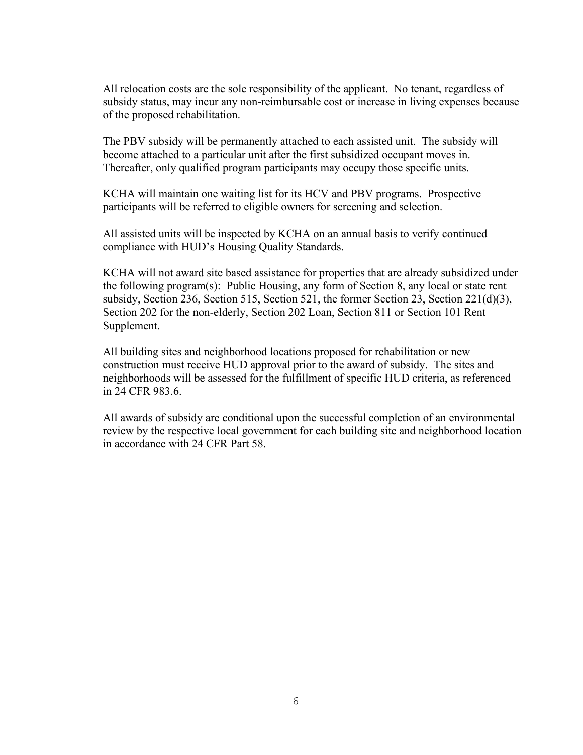All relocation costs are the sole responsibility of the applicant. No tenant, regardless of subsidy status, may incur any non-reimbursable cost or increase in living expenses because of the proposed rehabilitation.

The PBV subsidy will be permanently attached to each assisted unit. The subsidy will become attached to a particular unit after the first subsidized occupant moves in. Thereafter, only qualified program participants may occupy those specific units.

KCHA will maintain one waiting list for its HCV and PBV programs. Prospective participants will be referred to eligible owners for screening and selection.

All assisted units will be inspected by KCHA on an annual basis to verify continued compliance with HUD's Housing Quality Standards.

KCHA will not award site based assistance for properties that are already subsidized under the following program(s): Public Housing, any form of Section 8, any local or state rent subsidy, Section 236, Section 515, Section 521, the former Section 23, Section 221(d)(3), Section 202 for the non-elderly, Section 202 Loan, Section 811 or Section 101 Rent Supplement.

All building sites and neighborhood locations proposed for rehabilitation or new construction must receive HUD approval prior to the award of subsidy. The sites and neighborhoods will be assessed for the fulfillment of specific HUD criteria, as referenced in 24 CFR 983.6.

All awards of subsidy are conditional upon the successful completion of an environmental review by the respective local government for each building site and neighborhood location in accordance with 24 CFR Part 58.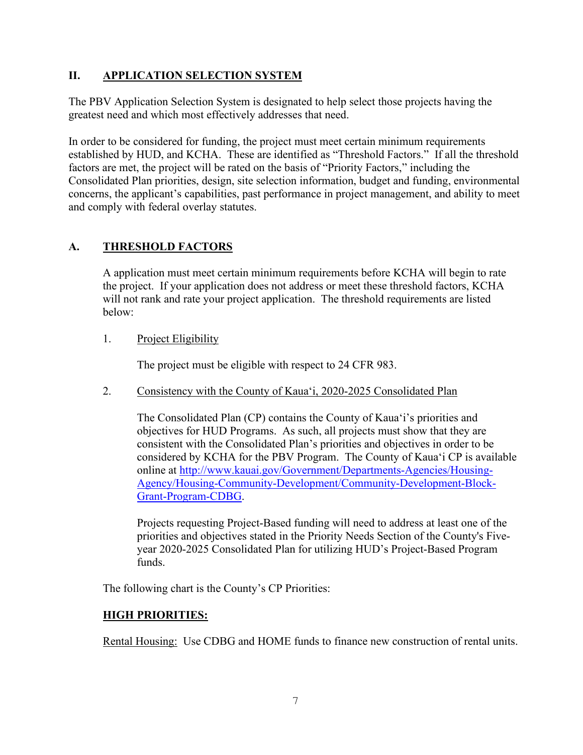# **II. APPLICATION SELECTION SYSTEM**

The PBV Application Selection System is designated to help select those projects having the greatest need and which most effectively addresses that need.

In order to be considered for funding, the project must meet certain minimum requirements established by HUD, and KCHA. These are identified as "Threshold Factors." If all the threshold factors are met, the project will be rated on the basis of "Priority Factors," including the Consolidated Plan priorities, design, site selection information, budget and funding, environmental concerns, the applicant's capabilities, past performance in project management, and ability to meet and comply with federal overlay statutes.

# **A. THRESHOLD FACTORS**

A application must meet certain minimum requirements before KCHA will begin to rate the project. If your application does not address or meet these threshold factors, KCHA will not rank and rate your project application. The threshold requirements are listed below:

# 1. Project Eligibility

The project must be eligible with respect to 24 CFR 983.

2. Consistency with the County of Kaua'i, 2020-2025 Consolidated Plan

The Consolidated Plan (CP) contains the County of Kaua'i's priorities and objectives for HUD Programs. As such, all projects must show that they are consistent with the Consolidated Plan's priorities and objectives in order to be considered by KCHA for the PBV Program. The County of Kaua'i CP is available online at [http://www.kauai.gov/Government/Departments-Agencies/Housing-](http://www.kauai.gov/Government/Departments-Agencies/Housing-Agency/Housing-Community-Development/Community-Development-Block-Grant-Program-CDBG)[Agency/Housing-Community-Development/Community-Development-Block-](http://www.kauai.gov/Government/Departments-Agencies/Housing-Agency/Housing-Community-Development/Community-Development-Block-Grant-Program-CDBG)[Grant-Program-CDBG.](http://www.kauai.gov/Government/Departments-Agencies/Housing-Agency/Housing-Community-Development/Community-Development-Block-Grant-Program-CDBG)

Projects requesting Project-Based funding will need to address at least one of the priorities and objectives stated in the Priority Needs Section of the County's Fiveyear 2020-2025 Consolidated Plan for utilizing HUD's Project-Based Program funds.

The following chart is the County's CP Priorities:

# **HIGH PRIORITIES:**

Rental Housing: Use CDBG and HOME funds to finance new construction of rental units.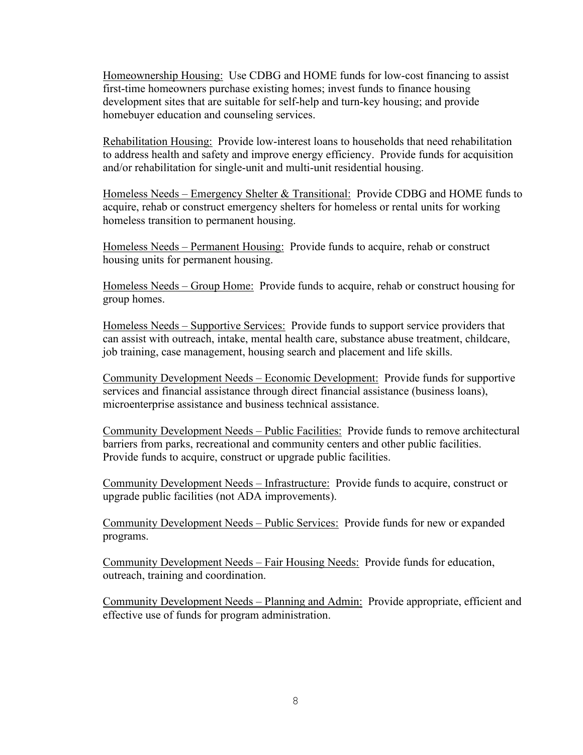Homeownership Housing: Use CDBG and HOME funds for low-cost financing to assist first-time homeowners purchase existing homes; invest funds to finance housing development sites that are suitable for self-help and turn-key housing; and provide homebuyer education and counseling services.

Rehabilitation Housing: Provide low-interest loans to households that need rehabilitation to address health and safety and improve energy efficiency. Provide funds for acquisition and/or rehabilitation for single-unit and multi-unit residential housing.

Homeless Needs – Emergency Shelter & Transitional: Provide CDBG and HOME funds to acquire, rehab or construct emergency shelters for homeless or rental units for working homeless transition to permanent housing.

Homeless Needs – Permanent Housing: Provide funds to acquire, rehab or construct housing units for permanent housing.

Homeless Needs – Group Home: Provide funds to acquire, rehab or construct housing for group homes.

Homeless Needs – Supportive Services: Provide funds to support service providers that can assist with outreach, intake, mental health care, substance abuse treatment, childcare, job training, case management, housing search and placement and life skills.

Community Development Needs – Economic Development: Provide funds for supportive services and financial assistance through direct financial assistance (business loans), microenterprise assistance and business technical assistance.

Community Development Needs – Public Facilities: Provide funds to remove architectural barriers from parks, recreational and community centers and other public facilities. Provide funds to acquire, construct or upgrade public facilities.

Community Development Needs – Infrastructure: Provide funds to acquire, construct or upgrade public facilities (not ADA improvements).

Community Development Needs – Public Services: Provide funds for new or expanded programs.

Community Development Needs – Fair Housing Needs: Provide funds for education, outreach, training and coordination.

Community Development Needs – Planning and Admin: Provide appropriate, efficient and effective use of funds for program administration.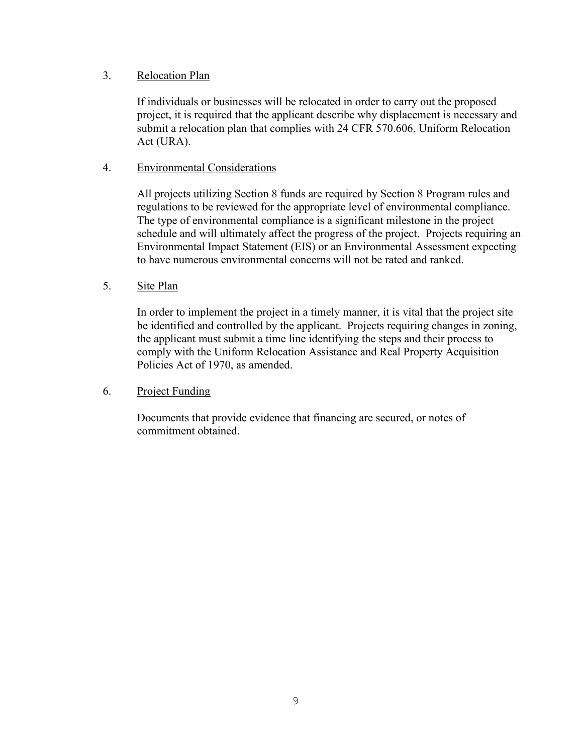# 3. Relocation Plan

If individuals or businesses will be relocated in order to carry out the proposed project, it is required that the applicant describe why displacement is necessary and submit a relocation plan that complies with 24 CFR 570.606, Uniform Relocation Act (URA).

# 4. Environmental Considerations

All projects utilizing Section 8 funds are required by Section 8 Program rules and regulations to be reviewed for the appropriate level of environmental compliance. The type of environmental compliance is a significant milestone in the project schedule and will ultimately affect the progress of the project. Projects requiring an Environmental Impact Statement (EIS) or an Environmental Assessment expecting to have numerous environmental concerns will not be rated and ranked.

# 5. Site Plan

In order to implement the project in a timely manner, it is vital that the project site be identified and controlled by the applicant. Projects requiring changes in zoning, the applicant must submit a time line identifying the steps and their process to comply with the Uniform Relocation Assistance and Real Property Acquisition Policies Act of 1970, as amended.

# 6. Project Funding

Documents that provide evidence that financing are secured, or notes of commitment obtained.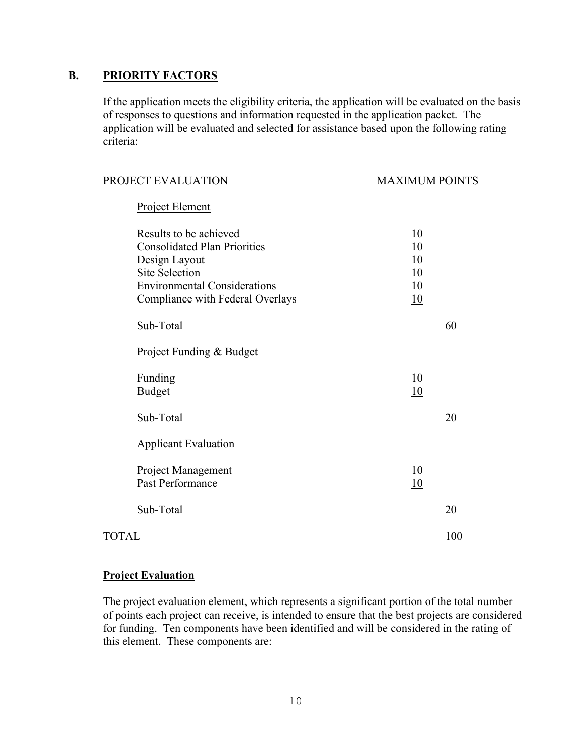# **B. PRIORITY FACTORS**

If the application meets the eligibility criteria, the application will be evaluated on the basis of responses to questions and information requested in the application packet. The application will be evaluated and selected for assistance based upon the following rating criteria:

| PROJECT EVALUATION                  | <b>MAXIMUM POINTS</b> |  |
|-------------------------------------|-----------------------|--|
| Project Element                     |                       |  |
| Results to be achieved              | 10                    |  |
| <b>Consolidated Plan Priorities</b> | 10                    |  |
| Design Layout                       | 10                    |  |
| <b>Site Selection</b>               | 10                    |  |
| <b>Environmental Considerations</b> | 10                    |  |
| Compliance with Federal Overlays    | <u>10</u>             |  |
| Sub-Total                           | 60                    |  |
| Project Funding & Budget            |                       |  |
| Funding                             | 10                    |  |
| <b>Budget</b>                       | 10                    |  |
| Sub-Total                           | <u>20</u>             |  |
| <b>Applicant Evaluation</b>         |                       |  |
| Project Management                  | 10                    |  |
| Past Performance                    | <u>10</u>             |  |
| Sub-Total                           | $\overline{20}$       |  |
| <b>TOTAL</b>                        |                       |  |
|                                     |                       |  |

### **Project Evaluation**

The project evaluation element, which represents a significant portion of the total number of points each project can receive, is intended to ensure that the best projects are considered for funding. Ten components have been identified and will be considered in the rating of this element. These components are: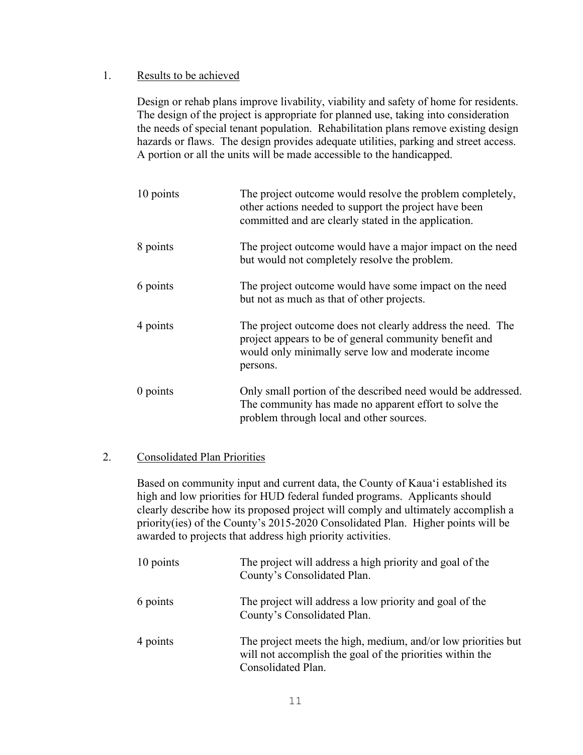## 1. Results to be achieved

Design or rehab plans improve livability, viability and safety of home for residents. The design of the project is appropriate for planned use, taking into consideration the needs of special tenant population. Rehabilitation plans remove existing design hazards or flaws. The design provides adequate utilities, parking and street access. A portion or all the units will be made accessible to the handicapped.

| 10 points  | The project outcome would resolve the problem completely,<br>other actions needed to support the project have been<br>committed and are clearly stated in the application.             |
|------------|----------------------------------------------------------------------------------------------------------------------------------------------------------------------------------------|
| 8 points   | The project outcome would have a major impact on the need<br>but would not completely resolve the problem.                                                                             |
| 6 points   | The project outcome would have some impact on the need<br>but not as much as that of other projects.                                                                                   |
| 4 points   | The project outcome does not clearly address the need. The<br>project appears to be of general community benefit and<br>would only minimally serve low and moderate income<br>persons. |
| $0$ points | Only small portion of the described need would be addressed.<br>The community has made no apparent effort to solve the<br>problem through local and other sources.                     |

# 2. Consolidated Plan Priorities

Based on community input and current data, the County of Kaua'i established its high and low priorities for HUD federal funded programs. Applicants should clearly describe how its proposed project will comply and ultimately accomplish a priority(ies) of the County's 2015-2020 Consolidated Plan. Higher points will be awarded to projects that address high priority activities.

| 10 points | The project will address a high priority and goal of the<br>County's Consolidated Plan.                                                          |
|-----------|--------------------------------------------------------------------------------------------------------------------------------------------------|
| 6 points  | The project will address a low priority and goal of the<br>County's Consolidated Plan.                                                           |
| 4 points  | The project meets the high, medium, and/or low priorities but<br>will not accomplish the goal of the priorities within the<br>Consolidated Plan. |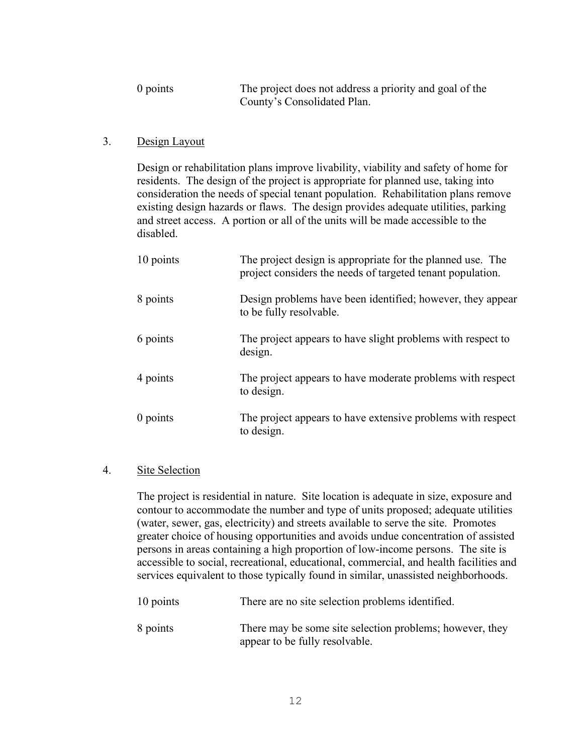| $0$ points | The project does not address a priority and goal of the |
|------------|---------------------------------------------------------|
|            | County's Consolidated Plan.                             |

## 3. Design Layout

Design or rehabilitation plans improve livability, viability and safety of home for residents. The design of the project is appropriate for planned use, taking into consideration the needs of special tenant population. Rehabilitation plans remove existing design hazards or flaws. The design provides adequate utilities, parking and street access. A portion or all of the units will be made accessible to the disabled.

| 10 points  | The project design is appropriate for the planned use. The<br>project considers the needs of targeted tenant population. |
|------------|--------------------------------------------------------------------------------------------------------------------------|
| 8 points   | Design problems have been identified; however, they appear<br>to be fully resolvable.                                    |
| 6 points   | The project appears to have slight problems with respect to<br>design.                                                   |
| 4 points   | The project appears to have moderate problems with respect<br>to design.                                                 |
| $0$ points | The project appears to have extensive problems with respect<br>to design.                                                |

## 4. Site Selection

The project is residential in nature. Site location is adequate in size, exposure and contour to accommodate the number and type of units proposed; adequate utilities (water, sewer, gas, electricity) and streets available to serve the site. Promotes greater choice of housing opportunities and avoids undue concentration of assisted persons in areas containing a high proportion of low-income persons. The site is accessible to social, recreational, educational, commercial, and health facilities and services equivalent to those typically found in similar, unassisted neighborhoods.

| 10 points | There are no site selection problems identified. |
|-----------|--------------------------------------------------|
|           |                                                  |

8 points There may be some site selection problems; however, they appear to be fully resolvable.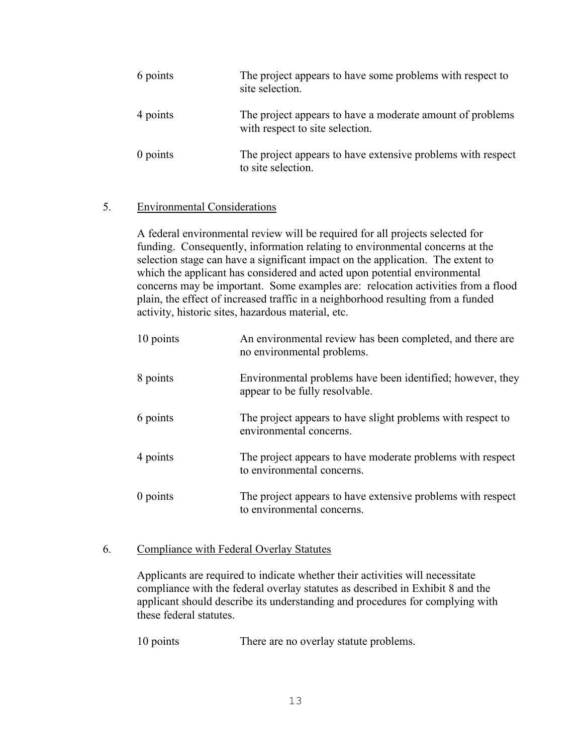| 6 points   | The project appears to have some problems with respect to<br>site selection.                 |
|------------|----------------------------------------------------------------------------------------------|
| 4 points   | The project appears to have a moderate amount of problems<br>with respect to site selection. |
| $0$ points | The project appears to have extensive problems with respect<br>to site selection.            |

## 5. Environmental Considerations

A federal environmental review will be required for all projects selected for funding. Consequently, information relating to environmental concerns at the selection stage can have a significant impact on the application. The extent to which the applicant has considered and acted upon potential environmental concerns may be important. Some examples are: relocation activities from a flood plain, the effect of increased traffic in a neighborhood resulting from a funded activity, historic sites, hazardous material, etc.

| 10 points  | An environmental review has been completed, and there are<br>no environmental problems.      |
|------------|----------------------------------------------------------------------------------------------|
| 8 points   | Environmental problems have been identified; however, they<br>appear to be fully resolvable. |
| 6 points   | The project appears to have slight problems with respect to<br>environmental concerns.       |
| 4 points   | The project appears to have moderate problems with respect<br>to environmental concerns.     |
| $0$ points | The project appears to have extensive problems with respect<br>to environmental concerns.    |

### 6. Compliance with Federal Overlay Statutes

Applicants are required to indicate whether their activities will necessitate compliance with the federal overlay statutes as described in Exhibit 8 and the applicant should describe its understanding and procedures for complying with these federal statutes.

10 points There are no overlay statute problems.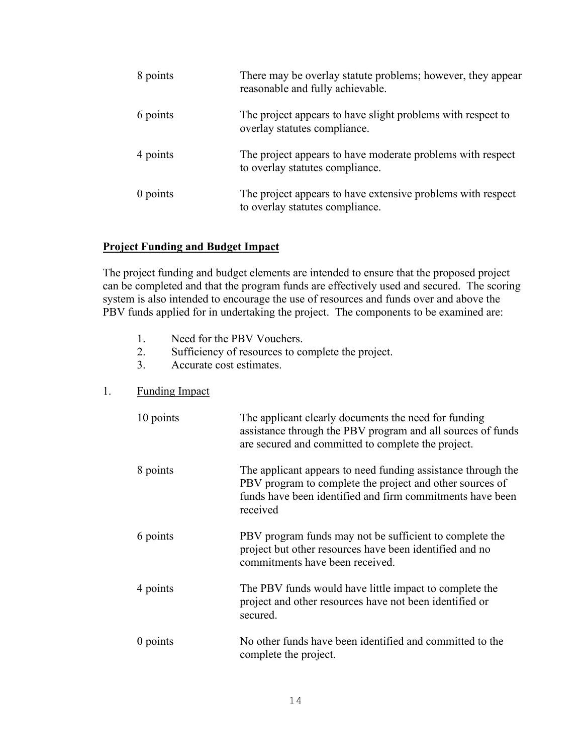| 8 points | There may be overlay statute problems; however, they appear<br>reasonable and fully achievable. |
|----------|-------------------------------------------------------------------------------------------------|
| 6 points | The project appears to have slight problems with respect to<br>overlay statutes compliance.     |
| 4 points | The project appears to have moderate problems with respect<br>to overlay statutes compliance.   |
| 0 points | The project appears to have extensive problems with respect<br>to overlay statutes compliance.  |

## **Project Funding and Budget Impact**

The project funding and budget elements are intended to ensure that the proposed project can be completed and that the program funds are effectively used and secured. The scoring system is also intended to encourage the use of resources and funds over and above the PBV funds applied for in undertaking the project. The components to be examined are:

- 1. Need for the PBV Vouchers.
- 2. Sufficiency of resources to complete the project.
- 3. Accurate cost estimates.

## 1. Funding Impact

| 10 points  | The applicant clearly documents the need for funding<br>assistance through the PBV program and all sources of funds<br>are secured and committed to complete the project.                         |
|------------|---------------------------------------------------------------------------------------------------------------------------------------------------------------------------------------------------|
| 8 points   | The applicant appears to need funding assistance through the<br>PBV program to complete the project and other sources of<br>funds have been identified and firm commitments have been<br>received |
| 6 points   | PBV program funds may not be sufficient to complete the<br>project but other resources have been identified and no<br>commitments have been received.                                             |
| 4 points   | The PBV funds would have little impact to complete the<br>project and other resources have not been identified or<br>secured.                                                                     |
| $0$ points | No other funds have been identified and committed to the<br>complete the project.                                                                                                                 |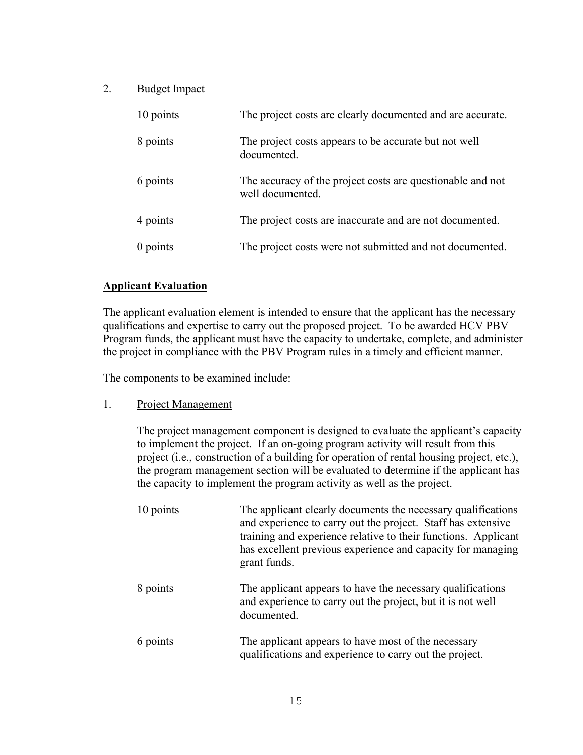# 2. Budget Impact

| 10 points  | The project costs are clearly documented and are accurate.                     |
|------------|--------------------------------------------------------------------------------|
| 8 points   | The project costs appears to be accurate but not well<br>documented.           |
| 6 points   | The accuracy of the project costs are questionable and not<br>well documented. |
| 4 points   | The project costs are inaccurate and are not documented.                       |
| $0$ points | The project costs were not submitted and not documented.                       |

# **Applicant Evaluation**

The applicant evaluation element is intended to ensure that the applicant has the necessary qualifications and expertise to carry out the proposed project. To be awarded HCV PBV Program funds, the applicant must have the capacity to undertake, complete, and administer the project in compliance with the PBV Program rules in a timely and efficient manner.

The components to be examined include:

### 1. Project Management

The project management component is designed to evaluate the applicant's capacity to implement the project. If an on-going program activity will result from this project (i.e., construction of a building for operation of rental housing project, etc.), the program management section will be evaluated to determine if the applicant has the capacity to implement the program activity as well as the project.

| 10 points | The applicant clearly documents the necessary qualifications<br>and experience to carry out the project. Staff has extensive<br>training and experience relative to their functions. Applicant<br>has excellent previous experience and capacity for managing<br>grant funds. |
|-----------|-------------------------------------------------------------------------------------------------------------------------------------------------------------------------------------------------------------------------------------------------------------------------------|
| 8 points  | The applicant appears to have the necessary qualifications<br>and experience to carry out the project, but it is not well<br>documented.                                                                                                                                      |
| 6 points  | The applicant appears to have most of the necessary<br>qualifications and experience to carry out the project.                                                                                                                                                                |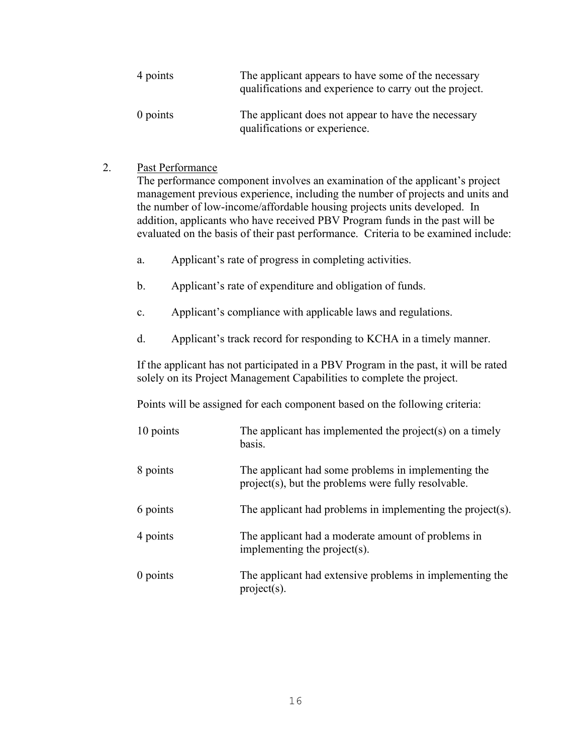| 4 points   | The applicant appears to have some of the necessary<br>qualifications and experience to carry out the project. |
|------------|----------------------------------------------------------------------------------------------------------------|
| $0$ points | The applicant does not appear to have the necessary<br>qualifications or experience.                           |

2. Past Performance

The performance component involves an examination of the applicant's project management previous experience, including the number of projects and units and the number of low-income/affordable housing projects units developed. In addition, applicants who have received PBV Program funds in the past will be evaluated on the basis of their past performance. Criteria to be examined include:

- a. Applicant's rate of progress in completing activities.
- b. Applicant's rate of expenditure and obligation of funds.
- c. Applicant's compliance with applicable laws and regulations.
- d. Applicant's track record for responding to KCHA in a timely manner.

If the applicant has not participated in a PBV Program in the past, it will be rated solely on its Project Management Capabilities to complete the project.

Points will be assigned for each component based on the following criteria:

| 10 points  | The applicant has implemented the project(s) on a timely<br>basis.                                         |
|------------|------------------------------------------------------------------------------------------------------------|
| 8 points   | The applicant had some problems in implementing the<br>project(s), but the problems were fully resolvable. |
| 6 points   | The applicant had problems in implementing the project(s).                                                 |
| 4 points   | The applicant had a moderate amount of problems in<br>implementing the project(s).                         |
| $0$ points | The applicant had extensive problems in implementing the<br>$project(s)$ .                                 |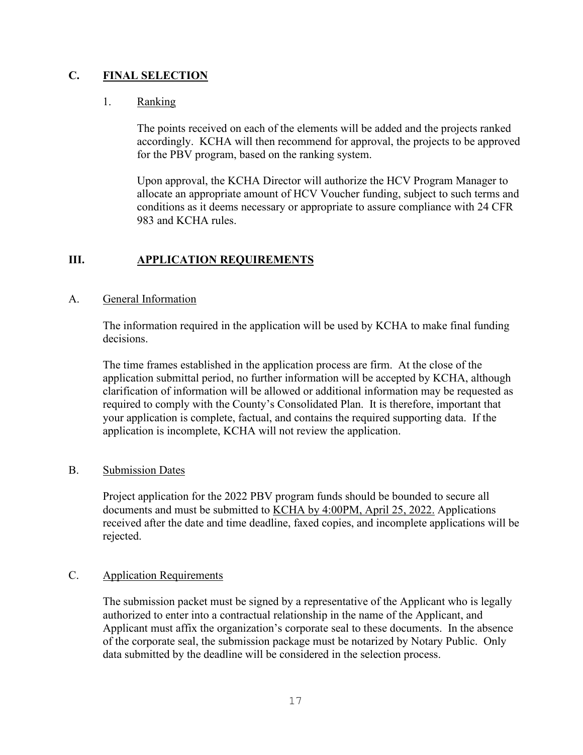# **C. FINAL SELECTION**

## 1. Ranking

The points received on each of the elements will be added and the projects ranked accordingly. KCHA will then recommend for approval, the projects to be approved for the PBV program, based on the ranking system.

Upon approval, the KCHA Director will authorize the HCV Program Manager to allocate an appropriate amount of HCV Voucher funding, subject to such terms and conditions as it deems necessary or appropriate to assure compliance with 24 CFR 983 and KCHA rules.

# **III. APPLICATION REQUIREMENTS**

## A. General Information

The information required in the application will be used by KCHA to make final funding decisions.

The time frames established in the application process are firm. At the close of the application submittal period, no further information will be accepted by KCHA, although clarification of information will be allowed or additional information may be requested as required to comply with the County's Consolidated Plan. It is therefore, important that your application is complete, factual, and contains the required supporting data. If the application is incomplete, KCHA will not review the application.

### B. Submission Dates

Project application for the 2022 PBV program funds should be bounded to secure all documents and must be submitted to KCHA by 4:00PM, April 25, 2022. Applications received after the date and time deadline, faxed copies, and incomplete applications will be rejected.

### C. Application Requirements

The submission packet must be signed by a representative of the Applicant who is legally authorized to enter into a contractual relationship in the name of the Applicant, and Applicant must affix the organization's corporate seal to these documents. In the absence of the corporate seal, the submission package must be notarized by Notary Public. Only data submitted by the deadline will be considered in the selection process.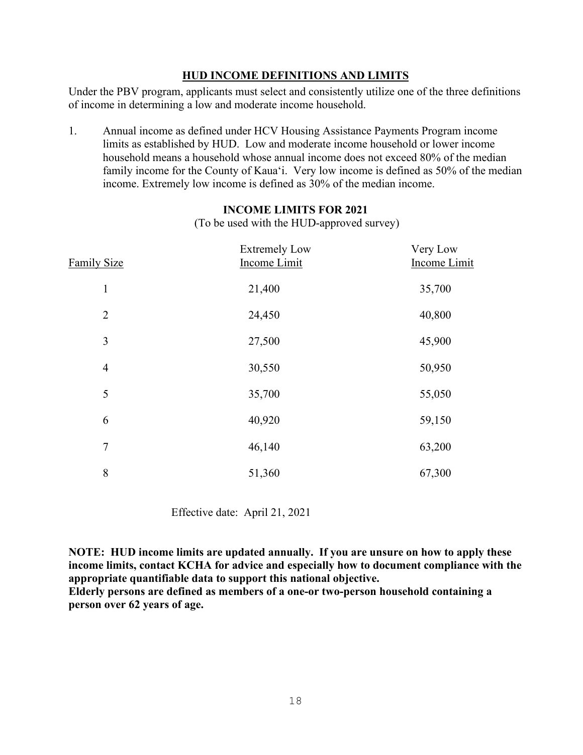## **HUD INCOME DEFINITIONS AND LIMITS**

Under the PBV program, applicants must select and consistently utilize one of the three definitions of income in determining a low and moderate income household.

1. Annual income as defined under HCV Housing Assistance Payments Program income limits as established by HUD. Low and moderate income household or lower income household means a household whose annual income does not exceed 80% of the median family income for the County of Kaua'i. Very low income is defined as 50% of the median income. Extremely low income is defined as 30% of the median income.

| <b>Family Size</b> | <b>Extremely Low</b><br><b>Income Limit</b> | Very Low<br><b>Income Limit</b> |
|--------------------|---------------------------------------------|---------------------------------|
| $\mathbf{1}$       | 21,400                                      | 35,700                          |
| $\overline{2}$     | 24,450                                      | 40,800                          |
| 3                  | 27,500                                      | 45,900                          |
| $\overline{4}$     | 30,550                                      | 50,950                          |
| 5                  | 35,700                                      | 55,050                          |
| 6                  | 40,920                                      | 59,150                          |
| $\tau$             | 46,140                                      | 63,200                          |
| 8                  | 51,360                                      | 67,300                          |

### **INCOME LIMITS FOR 2021**

(To be used with the HUD-approved survey)

Effective date: April 21, 2021

**NOTE: HUD income limits are updated annually. If you are unsure on how to apply these income limits, contact KCHA for advice and especially how to document compliance with the appropriate quantifiable data to support this national objective.** 

**Elderly persons are defined as members of a one-or two-person household containing a person over 62 years of age.**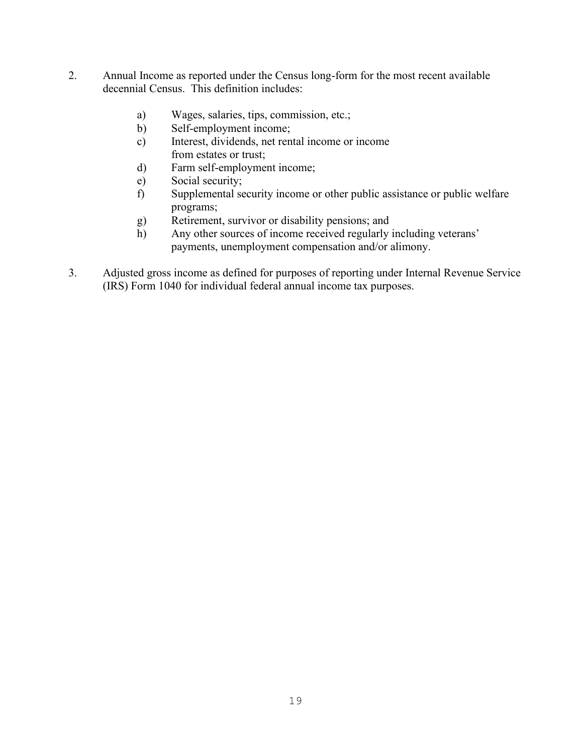- 2. Annual Income as reported under the Census long-form for the most recent available decennial Census. This definition includes:
	- a) Wages, salaries, tips, commission, etc.;
	- b) Self-employment income;
	- c) Interest, dividends, net rental income or income from estates or trust;
	- d) Farm self-employment income;
	- e) Social security;
	- f) Supplemental security income or other public assistance or public welfare programs;
	- g) Retirement, survivor or disability pensions; and
	- h) Any other sources of income received regularly including veterans' payments, unemployment compensation and/or alimony.
- 3. Adjusted gross income as defined for purposes of reporting under Internal Revenue Service (IRS) Form 1040 for individual federal annual income tax purposes.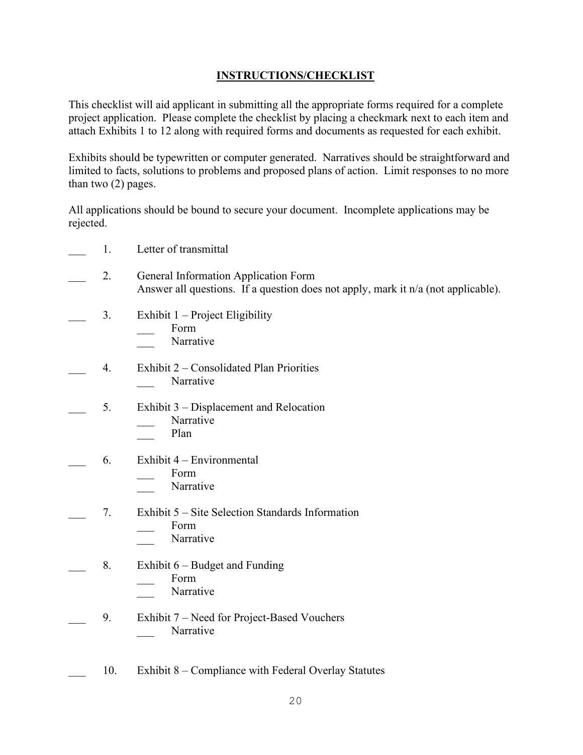# **INSTRUCTIONS/CHECKLIST**

This checklist will aid applicant in submitting all the appropriate forms required for a complete project application. Please complete the checklist by placing a checkmark next to each item and attach Exhibits 1 to 12 along with required forms and documents as requested for each exhibit.

Exhibits should be typewritten or computer generated. Narratives should be straightforward and limited to facts, solutions to problems and proposed plans of action. Limit responses to no more than two (2) pages.

All applications should be bound to secure your document. Incomplete applications may be rejected.

- \_\_\_ 1. Letter of transmittal
- \_\_\_ 2. General Information Application Form Answer all questions. If a question does not apply, mark it n/a (not applicable).
- 3. Exhibit  $1$  Project Eligibility
	- \_\_\_ Form
	- Narrative
- \_\_\_ 4. Exhibit 2 Consolidated Plan Priorities Narrative
- 5. Exhibit 3 Displacement and Relocation Narrative
	- Plan
- $6.$  Exhibit  $4$  Environmental
	- \_\_\_ Form
	- Narrative

### \_\_\_ 7. Exhibit 5 – Site Selection Standards Information

- \_\_\_ Form
- Narrative
- 8. Exhibit  $6 -$  Budget and Funding
	- \_\_\_ Form
		- Narrative
- 9. Exhibit 7 Need for Project-Based Vouchers Narrative
- 10. Exhibit 8 Compliance with Federal Overlay Statutes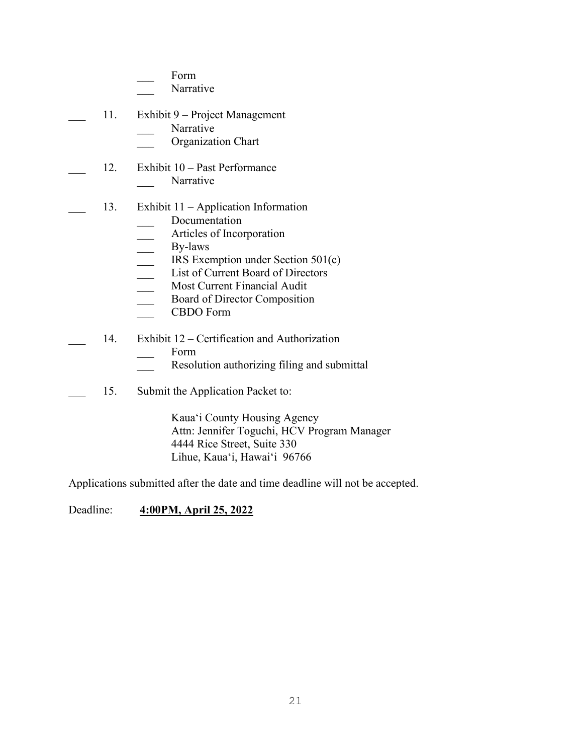|     | Form<br>Narrative                                                                                                                                                                                                                                                  |
|-----|--------------------------------------------------------------------------------------------------------------------------------------------------------------------------------------------------------------------------------------------------------------------|
| 11. | Exhibit 9 – Project Management<br>Narrative<br>Organization Chart                                                                                                                                                                                                  |
| 12. | Exhibit 10 – Past Performance<br>Narrative                                                                                                                                                                                                                         |
| 13. | Exhibit $11 -$ Application Information<br>Documentation<br>Articles of Incorporation<br>By-laws<br>IRS Exemption under Section $501(c)$<br>List of Current Board of Directors<br>Most Current Financial Audit<br>Board of Director Composition<br><b>CBDO</b> Form |
| 14. | Exhibit 12 – Certification and Authorization<br>Form<br>Resolution authorizing filing and submittal                                                                                                                                                                |
| 15. | Submit the Application Packet to:<br>Kaua'i County Housing Agency<br>$\Lambda$ ttn: Jonnifor Toquebi, $\text{HCV}$ Drogram Man                                                                                                                                     |

 Attn: Jennifer Toguchi, HCV Program Manager 4444 Rice Street, Suite 330 Lihue, Kaua'i, Hawai'i 96766

Applications submitted after the date and time deadline will not be accepted.

Deadline: **4:00PM, April 25, 2022**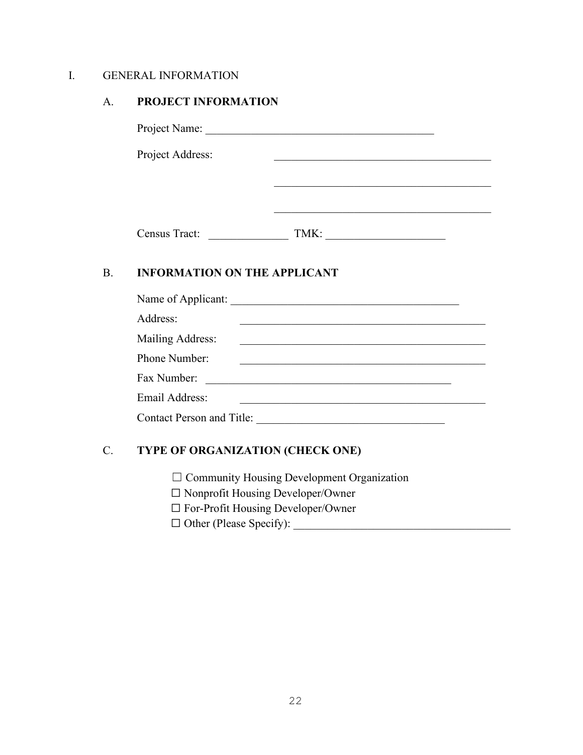# I. GENERAL INFORMATION

## A. **PROJECT INFORMATION**

Project Name: \_\_\_\_\_\_\_\_\_\_\_\_\_\_\_\_\_\_\_\_\_\_\_\_\_\_\_\_\_\_\_\_\_\_\_\_\_\_\_\_

Project Address: \_\_\_\_\_\_\_\_\_\_\_\_\_\_\_\_\_\_\_\_\_\_\_\_\_\_\_\_\_\_\_\_\_\_\_\_\_\_

Census Tract: \_\_\_\_\_\_\_\_\_\_\_\_\_\_ TMK: \_\_\_\_\_\_\_\_\_\_\_\_\_\_\_\_\_\_\_\_\_

\_\_\_\_\_\_\_\_\_\_\_\_\_\_\_\_\_\_\_\_\_\_\_\_\_\_\_\_\_\_\_\_\_\_\_\_\_\_

\_\_\_\_\_\_\_\_\_\_\_\_\_\_\_\_\_\_\_\_\_\_\_\_\_\_\_\_\_\_\_\_\_\_\_\_\_\_

# B. **INFORMATION ON THE APPLICANT**

| Name of Applicant:               |  |
|----------------------------------|--|
| Address:                         |  |
| Mailing Address:                 |  |
| Phone Number:                    |  |
| Fax Number:                      |  |
| Email Address:                   |  |
| <b>Contact Person and Title:</b> |  |

# C. **TYPE OF ORGANIZATION (CHECK ONE)**

- ☐ Community Housing Development Organization
- ☐ Nonprofit Housing Developer/Owner
- ☐ For-Profit Housing Developer/Owner
- ☐ Other (Please Specify): \_\_\_\_\_\_\_\_\_\_\_\_\_\_\_\_\_\_\_\_\_\_\_\_\_\_\_\_\_\_\_\_\_\_\_\_\_\_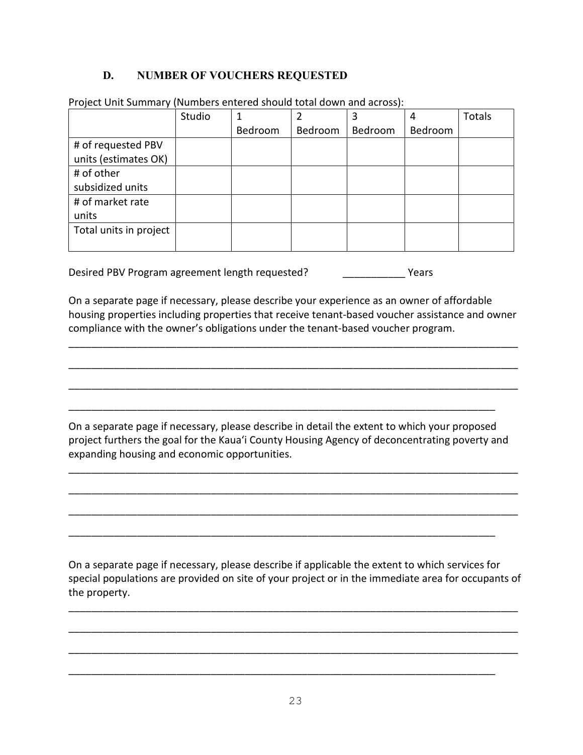# **D. NUMBER OF VOUCHERS REQUESTED**

|                        | Studio |         |         | 3       |         | <b>Totals</b> |
|------------------------|--------|---------|---------|---------|---------|---------------|
|                        |        | Bedroom | Bedroom | Bedroom | Bedroom |               |
| # of requested PBV     |        |         |         |         |         |               |
| units (estimates OK)   |        |         |         |         |         |               |
| # of other             |        |         |         |         |         |               |
| subsidized units       |        |         |         |         |         |               |
| # of market rate       |        |         |         |         |         |               |
| units                  |        |         |         |         |         |               |
| Total units in project |        |         |         |         |         |               |
|                        |        |         |         |         |         |               |

Project Unit Summary (Numbers entered should total down and across):

Desired PBV Program agreement length requested? \_\_\_\_\_\_\_\_\_\_\_ Years

On a separate page if necessary, please describe your experience as an owner of affordable housing properties including properties that receive tenant-based voucher assistance and owner compliance with the owner's obligations under the tenant-based voucher program.

\_\_\_\_\_\_\_\_\_\_\_\_\_\_\_\_\_\_\_\_\_\_\_\_\_\_\_\_\_\_\_\_\_\_\_\_\_\_\_\_\_\_\_\_\_\_\_\_\_\_\_\_\_\_\_\_\_\_\_\_\_\_\_\_\_\_\_\_\_\_\_\_\_\_\_\_\_\_\_

\_\_\_\_\_\_\_\_\_\_\_\_\_\_\_\_\_\_\_\_\_\_\_\_\_\_\_\_\_\_\_\_\_\_\_\_\_\_\_\_\_\_\_\_\_\_\_\_\_\_\_\_\_\_\_\_\_\_\_\_\_\_\_\_\_\_\_\_\_\_\_\_\_\_\_\_\_\_\_

\_\_\_\_\_\_\_\_\_\_\_\_\_\_\_\_\_\_\_\_\_\_\_\_\_\_\_\_\_\_\_\_\_\_\_\_\_\_\_\_\_\_\_\_\_\_\_\_\_\_\_\_\_\_\_\_\_\_\_\_\_\_\_\_\_\_\_\_\_\_\_\_\_\_\_\_\_\_\_

On a separate page if necessary, please describe in detail the extent to which your proposed project furthers the goal for the Kaua'i County Housing Agency of deconcentrating poverty and expanding housing and economic opportunities.

\_\_\_\_\_\_\_\_\_\_\_\_\_\_\_\_\_\_\_\_\_\_\_\_\_\_\_\_\_\_\_\_\_\_\_\_\_\_\_\_\_\_\_\_\_\_\_\_\_\_\_\_\_\_\_\_\_\_\_\_\_\_\_\_\_\_\_\_\_\_\_\_\_\_\_\_\_\_\_

\_\_\_\_\_\_\_\_\_\_\_\_\_\_\_\_\_\_\_\_\_\_\_\_\_\_\_\_\_\_\_\_\_\_\_\_\_\_\_\_\_\_\_\_\_\_\_\_\_\_\_\_\_\_\_\_\_\_\_\_\_\_\_\_\_\_\_\_\_\_\_\_\_\_\_\_\_\_\_

\_\_\_\_\_\_\_\_\_\_\_\_\_\_\_\_\_\_\_\_\_\_\_\_\_\_\_\_\_\_\_\_\_\_\_\_\_\_\_\_\_\_\_\_\_\_\_\_\_\_\_\_\_\_\_\_\_\_\_\_\_\_\_\_\_\_\_\_\_\_\_\_\_\_\_\_\_\_\_

\_\_\_\_\_\_\_\_\_\_\_\_\_\_\_\_\_\_\_\_\_\_\_\_\_\_\_\_\_\_\_\_\_\_\_\_\_\_\_\_\_\_\_\_\_\_\_\_\_\_\_\_\_\_\_\_\_\_\_\_\_\_\_\_\_\_\_\_\_\_\_\_\_\_\_

\_\_\_\_\_\_\_\_\_\_\_\_\_\_\_\_\_\_\_\_\_\_\_\_\_\_\_\_\_\_\_\_\_\_\_\_\_\_\_\_\_\_\_\_\_\_\_\_\_\_\_\_\_\_\_\_\_\_\_\_\_\_\_\_\_\_\_\_\_\_\_\_\_\_\_

On a separate page if necessary, please describe if applicable the extent to which services for special populations are provided on site of your project or in the immediate area for occupants of the property.

\_\_\_\_\_\_\_\_\_\_\_\_\_\_\_\_\_\_\_\_\_\_\_\_\_\_\_\_\_\_\_\_\_\_\_\_\_\_\_\_\_\_\_\_\_\_\_\_\_\_\_\_\_\_\_\_\_\_\_\_\_\_\_\_\_\_\_\_\_\_\_\_\_\_\_\_\_\_\_

\_\_\_\_\_\_\_\_\_\_\_\_\_\_\_\_\_\_\_\_\_\_\_\_\_\_\_\_\_\_\_\_\_\_\_\_\_\_\_\_\_\_\_\_\_\_\_\_\_\_\_\_\_\_\_\_\_\_\_\_\_\_\_\_\_\_\_\_\_\_\_\_\_\_\_\_\_\_\_

\_\_\_\_\_\_\_\_\_\_\_\_\_\_\_\_\_\_\_\_\_\_\_\_\_\_\_\_\_\_\_\_\_\_\_\_\_\_\_\_\_\_\_\_\_\_\_\_\_\_\_\_\_\_\_\_\_\_\_\_\_\_\_\_\_\_\_\_\_\_\_\_\_\_\_\_\_\_\_

\_\_\_\_\_\_\_\_\_\_\_\_\_\_\_\_\_\_\_\_\_\_\_\_\_\_\_\_\_\_\_\_\_\_\_\_\_\_\_\_\_\_\_\_\_\_\_\_\_\_\_\_\_\_\_\_\_\_\_\_\_\_\_\_\_\_\_\_\_\_\_\_\_\_\_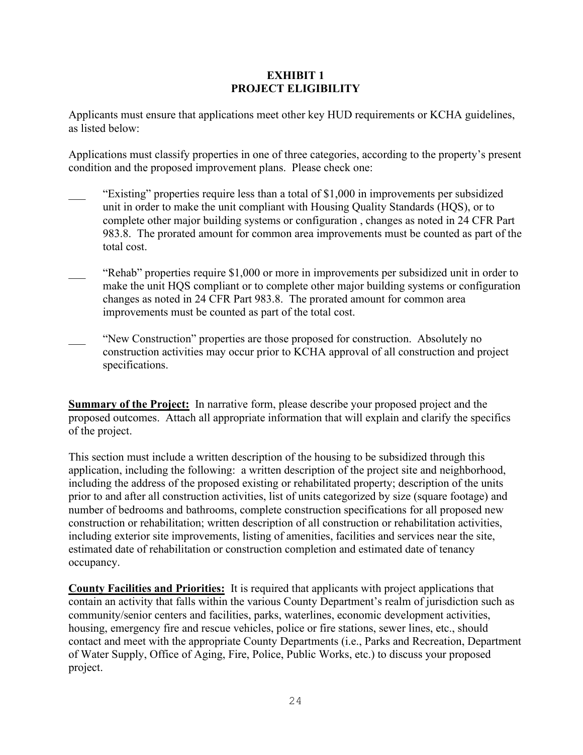## **EXHIBIT 1 PROJECT ELIGIBILITY**

Applicants must ensure that applications meet other key HUD requirements or KCHA guidelines, as listed below:

Applications must classify properties in one of three categories, according to the property's present condition and the proposed improvement plans. Please check one:

- "Existing" properties require less than a total of \$1,000 in improvements per subsidized unit in order to make the unit compliant with Housing Quality Standards (HQS), or to complete other major building systems or configuration , changes as noted in 24 CFR Part 983.8. The prorated amount for common area improvements must be counted as part of the total cost.
- "Rehab" properties require \$1,000 or more in improvements per subsidized unit in order to make the unit HQS compliant or to complete other major building systems or configuration changes as noted in 24 CFR Part 983.8. The prorated amount for common area improvements must be counted as part of the total cost.
- \_\_\_ "New Construction" properties are those proposed for construction. Absolutely no construction activities may occur prior to KCHA approval of all construction and project specifications.

**Summary of the Project:** In narrative form, please describe your proposed project and the proposed outcomes. Attach all appropriate information that will explain and clarify the specifics of the project.

This section must include a written description of the housing to be subsidized through this application, including the following: a written description of the project site and neighborhood, including the address of the proposed existing or rehabilitated property; description of the units prior to and after all construction activities, list of units categorized by size (square footage) and number of bedrooms and bathrooms, complete construction specifications for all proposed new construction or rehabilitation; written description of all construction or rehabilitation activities, including exterior site improvements, listing of amenities, facilities and services near the site, estimated date of rehabilitation or construction completion and estimated date of tenancy occupancy.

**County Facilities and Priorities:** It is required that applicants with project applications that contain an activity that falls within the various County Department's realm of jurisdiction such as community/senior centers and facilities, parks, waterlines, economic development activities, housing, emergency fire and rescue vehicles, police or fire stations, sewer lines, etc., should contact and meet with the appropriate County Departments (i.e., Parks and Recreation, Department of Water Supply, Office of Aging, Fire, Police, Public Works, etc.) to discuss your proposed project.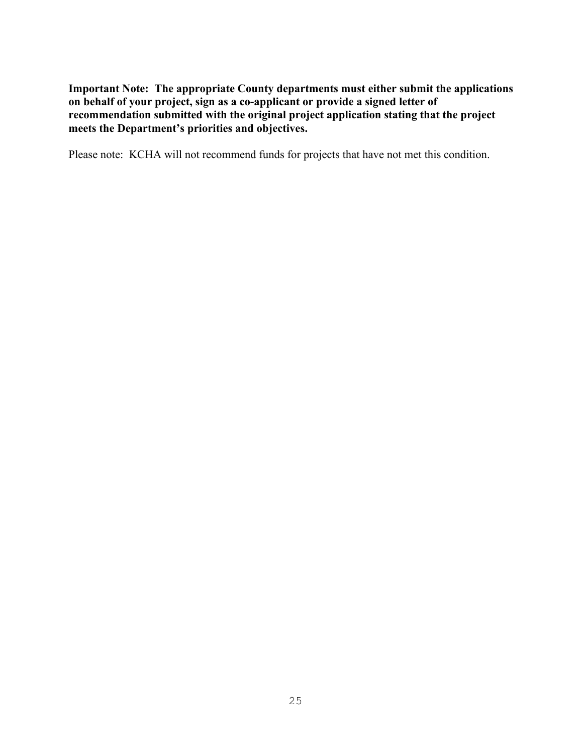**Important Note: The appropriate County departments must either submit the applications on behalf of your project, sign as a co-applicant or provide a signed letter of recommendation submitted with the original project application stating that the project meets the Department's priorities and objectives.**

Please note: KCHA will not recommend funds for projects that have not met this condition.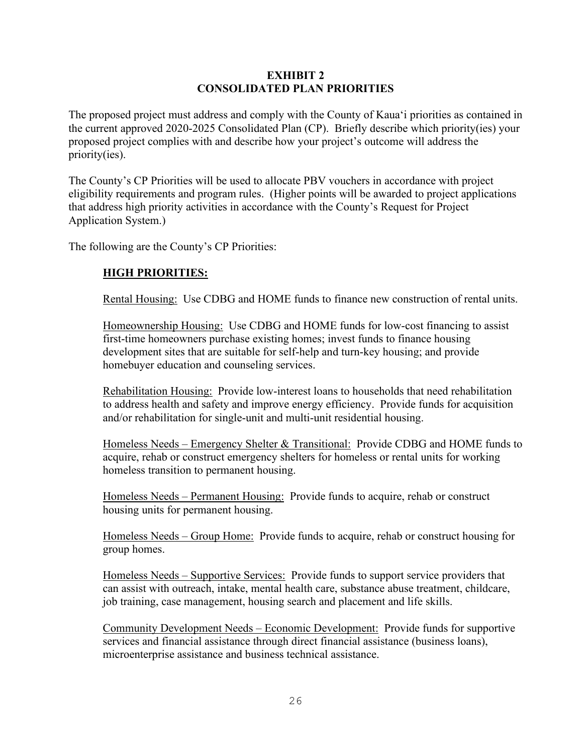## **EXHIBIT 2 CONSOLIDATED PLAN PRIORITIES**

The proposed project must address and comply with the County of Kaua'i priorities as contained in the current approved 2020-2025 Consolidated Plan (CP). Briefly describe which priority(ies) your proposed project complies with and describe how your project's outcome will address the priority(ies).

The County's CP Priorities will be used to allocate PBV vouchers in accordance with project eligibility requirements and program rules. (Higher points will be awarded to project applications that address high priority activities in accordance with the County's Request for Project Application System.)

The following are the County's CP Priorities:

# **HIGH PRIORITIES:**

Rental Housing: Use CDBG and HOME funds to finance new construction of rental units.

Homeownership Housing: Use CDBG and HOME funds for low-cost financing to assist first-time homeowners purchase existing homes; invest funds to finance housing development sites that are suitable for self-help and turn-key housing; and provide homebuyer education and counseling services.

Rehabilitation Housing: Provide low-interest loans to households that need rehabilitation to address health and safety and improve energy efficiency. Provide funds for acquisition and/or rehabilitation for single-unit and multi-unit residential housing.

Homeless Needs – Emergency Shelter & Transitional: Provide CDBG and HOME funds to acquire, rehab or construct emergency shelters for homeless or rental units for working homeless transition to permanent housing.

Homeless Needs – Permanent Housing: Provide funds to acquire, rehab or construct housing units for permanent housing.

Homeless Needs – Group Home: Provide funds to acquire, rehab or construct housing for group homes.

Homeless Needs – Supportive Services: Provide funds to support service providers that can assist with outreach, intake, mental health care, substance abuse treatment, childcare, job training, case management, housing search and placement and life skills.

Community Development Needs – Economic Development: Provide funds for supportive services and financial assistance through direct financial assistance (business loans), microenterprise assistance and business technical assistance.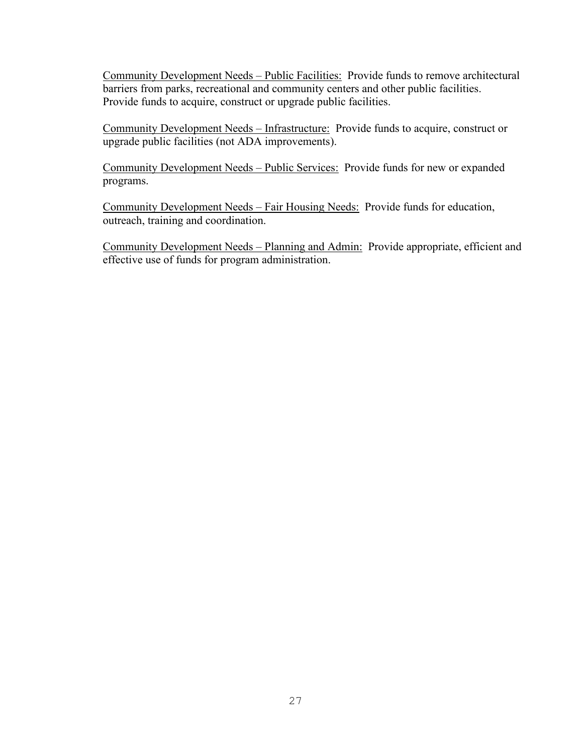Community Development Needs – Public Facilities: Provide funds to remove architectural barriers from parks, recreational and community centers and other public facilities. Provide funds to acquire, construct or upgrade public facilities.

Community Development Needs – Infrastructure: Provide funds to acquire, construct or upgrade public facilities (not ADA improvements).

Community Development Needs – Public Services: Provide funds for new or expanded programs.

Community Development Needs – Fair Housing Needs: Provide funds for education, outreach, training and coordination.

Community Development Needs – Planning and Admin: Provide appropriate, efficient and effective use of funds for program administration.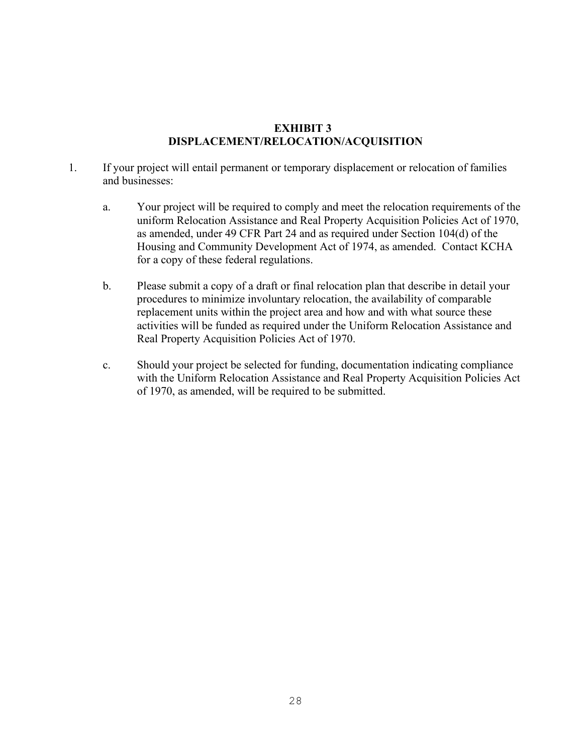# **EXHIBIT 3 DISPLACEMENT/RELOCATION/ACQUISITION**

- 1. If your project will entail permanent or temporary displacement or relocation of families and businesses:
	- a. Your project will be required to comply and meet the relocation requirements of the uniform Relocation Assistance and Real Property Acquisition Policies Act of 1970, as amended, under 49 CFR Part 24 and as required under Section 104(d) of the Housing and Community Development Act of 1974, as amended. Contact KCHA for a copy of these federal regulations.
	- b. Please submit a copy of a draft or final relocation plan that describe in detail your procedures to minimize involuntary relocation, the availability of comparable replacement units within the project area and how and with what source these activities will be funded as required under the Uniform Relocation Assistance and Real Property Acquisition Policies Act of 1970.
	- c. Should your project be selected for funding, documentation indicating compliance with the Uniform Relocation Assistance and Real Property Acquisition Policies Act of 1970, as amended, will be required to be submitted.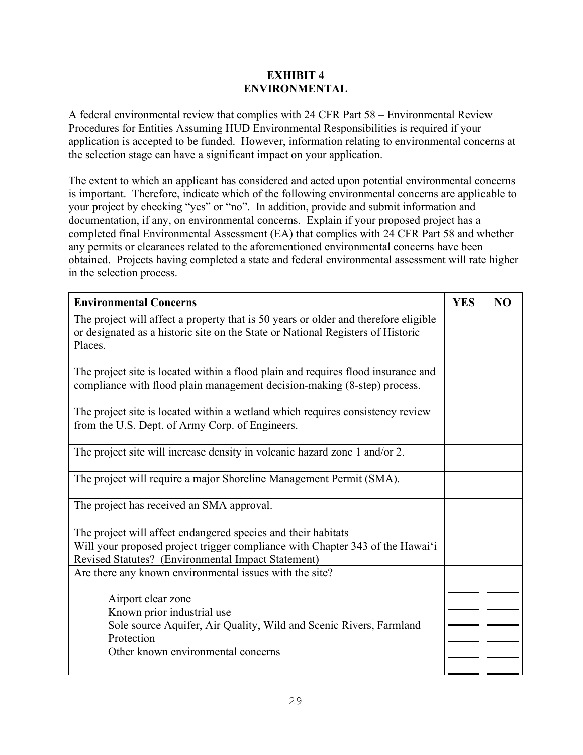## **EXHIBIT 4 ENVIRONMENTAL**

A federal environmental review that complies with 24 CFR Part 58 – Environmental Review Procedures for Entities Assuming HUD Environmental Responsibilities is required if your application is accepted to be funded. However, information relating to environmental concerns at the selection stage can have a significant impact on your application.

The extent to which an applicant has considered and acted upon potential environmental concerns is important. Therefore, indicate which of the following environmental concerns are applicable to your project by checking "yes" or "no". In addition, provide and submit information and documentation, if any, on environmental concerns. Explain if your proposed project has a completed final Environmental Assessment (EA) that complies with 24 CFR Part 58 and whether any permits or clearances related to the aforementioned environmental concerns have been obtained. Projects having completed a state and federal environmental assessment will rate higher in the selection process.

| <b>Environmental Concerns</b>                                                                                                                                                     | <b>YES</b> | N <sub>O</sub> |
|-----------------------------------------------------------------------------------------------------------------------------------------------------------------------------------|------------|----------------|
| The project will affect a property that is 50 years or older and therefore eligible<br>or designated as a historic site on the State or National Registers of Historic<br>Places. |            |                |
| The project site is located within a flood plain and requires flood insurance and<br>compliance with flood plain management decision-making (8-step) process.                     |            |                |
| The project site is located within a wetland which requires consistency review<br>from the U.S. Dept. of Army Corp. of Engineers.                                                 |            |                |
| The project site will increase density in volcanic hazard zone 1 and/or 2.                                                                                                        |            |                |
| The project will require a major Shoreline Management Permit (SMA).                                                                                                               |            |                |
| The project has received an SMA approval.                                                                                                                                         |            |                |
| The project will affect endangered species and their habitats                                                                                                                     |            |                |
| Will your proposed project trigger compliance with Chapter 343 of the Hawai'i<br>Revised Statutes? (Environmental Impact Statement)                                               |            |                |
| Are there any known environmental issues with the site?                                                                                                                           |            |                |
| Airport clear zone                                                                                                                                                                |            |                |
| Known prior industrial use                                                                                                                                                        |            |                |
| Sole source Aquifer, Air Quality, Wild and Scenic Rivers, Farmland<br>Protection                                                                                                  |            |                |
| Other known environmental concerns                                                                                                                                                |            |                |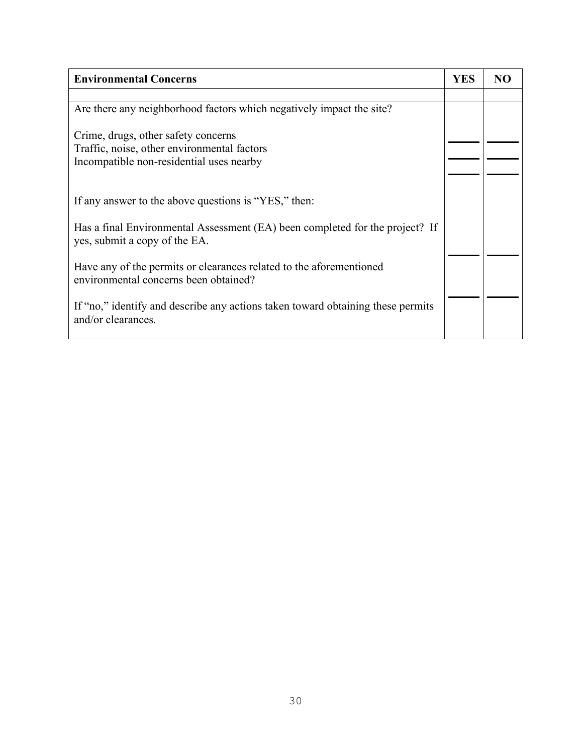| <b>Environmental Concerns</b>                                                                                                  | <b>YES</b> | NΟ |
|--------------------------------------------------------------------------------------------------------------------------------|------------|----|
|                                                                                                                                |            |    |
| Are there any neighborhood factors which negatively impact the site?                                                           |            |    |
| Crime, drugs, other safety concerns<br>Traffic, noise, other environmental factors<br>Incompatible non-residential uses nearby |            |    |
| If any answer to the above questions is "YES," then:                                                                           |            |    |
| Has a final Environmental Assessment (EA) been completed for the project? If<br>yes, submit a copy of the EA.                  |            |    |
| Have any of the permits or clearances related to the aforementioned<br>environmental concerns been obtained?                   |            |    |
| If "no," identify and describe any actions taken toward obtaining these permits<br>and/or clearances.                          |            |    |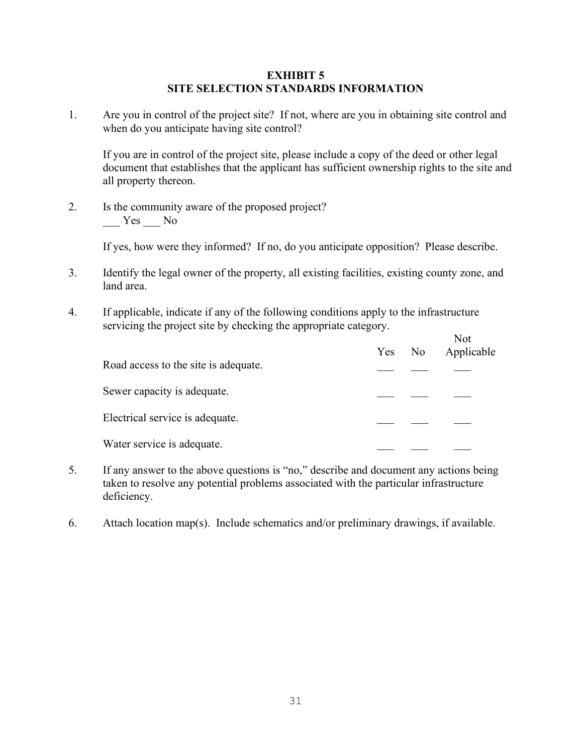#### **EXHIBIT 5 SITE SELECTION STANDARDS INFORMATION**

1. Are you in control of the project site? If not, where are you in obtaining site control and when do you anticipate having site control?

If you are in control of the project site, please include a copy of the deed or other legal document that establishes that the applicant has sufficient ownership rights to the site and all property thereon.

2. Is the community aware of the proposed project? Yes No

If yes, how were they informed? If no, do you anticipate opposition? Please describe.

- 3. Identify the legal owner of the property, all existing facilities, existing county zone, and land area.
- 4. If applicable, indicate if any of the following conditions apply to the infrastructure servicing the project site by checking the appropriate category.  $\mathbf{v}$

|                                      | Yes | No | <b>NOL</b><br>Applicable |
|--------------------------------------|-----|----|--------------------------|
| Road access to the site is adequate. |     |    |                          |
| Sewer capacity is adequate.          |     |    |                          |
| Electrical service is adequate.      |     |    |                          |
| Water service is adequate.           |     |    |                          |

- 5. If any answer to the above questions is "no," describe and document any actions being taken to resolve any potential problems associated with the particular infrastructure deficiency.
- 6. Attach location map(s). Include schematics and/or preliminary drawings, if available.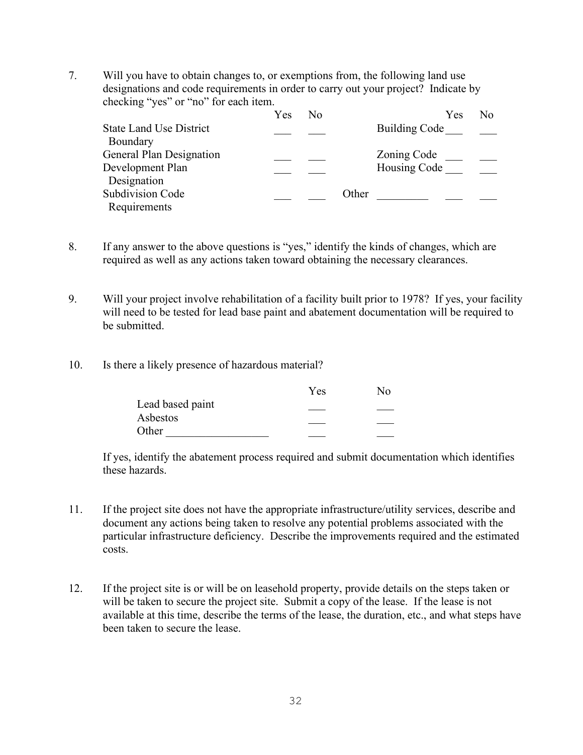7. Will you have to obtain changes to, or exemptions from, the following land use designations and code requirements in order to carry out your project? Indicate by checking "yes" or "no" for each item.

|                                | Yes | No |       | Yes           | No |
|--------------------------------|-----|----|-------|---------------|----|
| <b>State Land Use District</b> |     |    |       | Building Code |    |
| Boundary                       |     |    |       |               |    |
| General Plan Designation       |     |    |       | Zoning Code   |    |
| Development Plan               |     |    |       | Housing Code  |    |
| Designation                    |     |    |       |               |    |
| <b>Subdivision Code</b>        |     |    | Other |               |    |
| Requirements                   |     |    |       |               |    |

8. If any answer to the above questions is "yes," identify the kinds of changes, which are required as well as any actions taken toward obtaining the necessary clearances.

9. Will your project involve rehabilitation of a facility built prior to 1978? If yes, your facility will need to be tested for lead base paint and abatement documentation will be required to be submitted.

10. Is there a likely presence of hazardous material?

| Yes | Nο |
|-----|----|
|     |    |
|     |    |
|     |    |
|     |    |

If yes, identify the abatement process required and submit documentation which identifies these hazards.

- 11. If the project site does not have the appropriate infrastructure/utility services, describe and document any actions being taken to resolve any potential problems associated with the particular infrastructure deficiency. Describe the improvements required and the estimated costs.
- 12. If the project site is or will be on leasehold property, provide details on the steps taken or will be taken to secure the project site. Submit a copy of the lease. If the lease is not available at this time, describe the terms of the lease, the duration, etc., and what steps have been taken to secure the lease.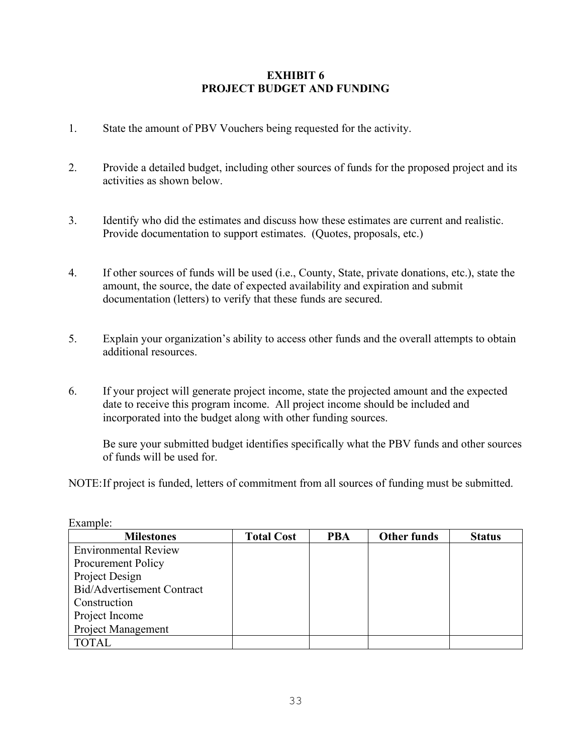## **EXHIBIT 6 PROJECT BUDGET AND FUNDING**

- 1. State the amount of PBV Vouchers being requested for the activity.
- 2. Provide a detailed budget, including other sources of funds for the proposed project and its activities as shown below.
- 3. Identify who did the estimates and discuss how these estimates are current and realistic. Provide documentation to support estimates. (Quotes, proposals, etc.)
- 4. If other sources of funds will be used (i.e., County, State, private donations, etc.), state the amount, the source, the date of expected availability and expiration and submit documentation (letters) to verify that these funds are secured.
- 5. Explain your organization's ability to access other funds and the overall attempts to obtain additional resources.
- 6. If your project will generate project income, state the projected amount and the expected date to receive this program income. All project income should be included and incorporated into the budget along with other funding sources.

Be sure your submitted budget identifies specifically what the PBV funds and other sources of funds will be used for.

NOTE:If project is funded, letters of commitment from all sources of funding must be submitted.

| <b>Milestones</b>           | <b>Total Cost</b> | <b>PBA</b> | <b>Other funds</b> | <b>Status</b> |
|-----------------------------|-------------------|------------|--------------------|---------------|
| <b>Environmental Review</b> |                   |            |                    |               |
| <b>Procurement Policy</b>   |                   |            |                    |               |
| Project Design              |                   |            |                    |               |
| Bid/Advertisement Contract  |                   |            |                    |               |
| Construction                |                   |            |                    |               |
| Project Income              |                   |            |                    |               |
| <b>Project Management</b>   |                   |            |                    |               |
| <b>TOTAL</b>                |                   |            |                    |               |

Example: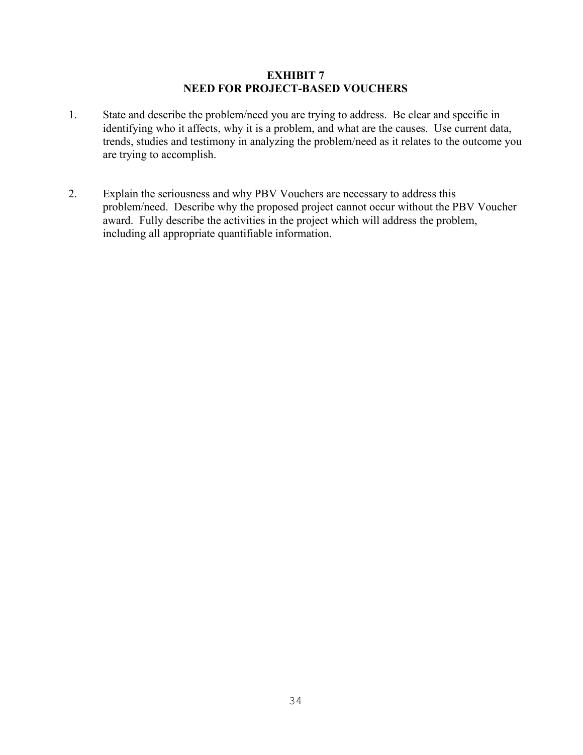#### **EXHIBIT 7 NEED FOR PROJECT-BASED VOUCHERS**

- 1. State and describe the problem/need you are trying to address. Be clear and specific in identifying who it affects, why it is a problem, and what are the causes. Use current data, trends, studies and testimony in analyzing the problem/need as it relates to the outcome you are trying to accomplish.
- 2. Explain the seriousness and why PBV Vouchers are necessary to address this problem/need. Describe why the proposed project cannot occur without the PBV Voucher award. Fully describe the activities in the project which will address the problem, including all appropriate quantifiable information.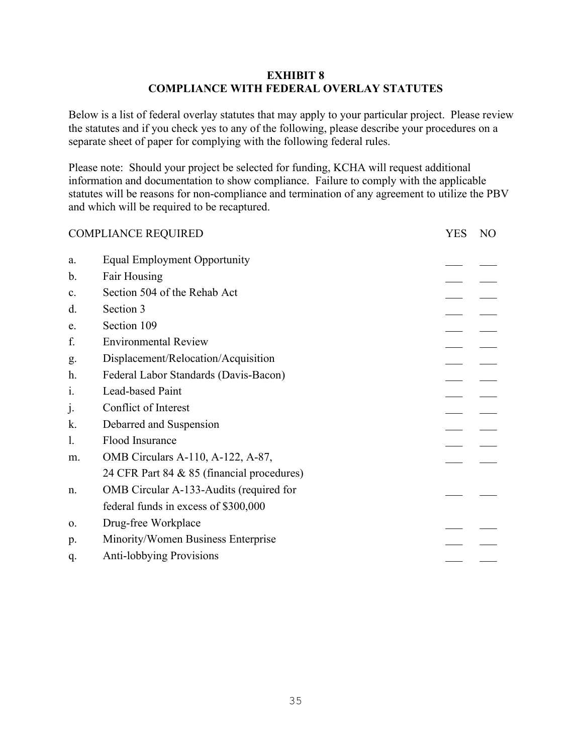## **EXHIBIT 8 COMPLIANCE WITH FEDERAL OVERLAY STATUTES**

Below is a list of federal overlay statutes that may apply to your particular project. Please review the statutes and if you check yes to any of the following, please describe your procedures on a separate sheet of paper for complying with the following federal rules.

Please note: Should your project be selected for funding, KCHA will request additional information and documentation to show compliance. Failure to comply with the applicable statutes will be reasons for non-compliance and termination of any agreement to utilize the PBV and which will be required to be recaptured.

| <b>COMPLIANCE REQUIRED</b> |                                            |  | N <sub>O</sub> |
|----------------------------|--------------------------------------------|--|----------------|
| a.                         | <b>Equal Employment Opportunity</b>        |  |                |
| b.                         | Fair Housing                               |  |                |
| $\mathbf{c}$ .             | Section 504 of the Rehab Act               |  |                |
| d.                         | Section 3                                  |  |                |
| e.                         | Section 109                                |  |                |
| f.                         | <b>Environmental Review</b>                |  |                |
| g.                         | Displacement/Relocation/Acquisition        |  |                |
| h.                         | Federal Labor Standards (Davis-Bacon)      |  |                |
| 1.                         | Lead-based Paint                           |  |                |
| j.                         | Conflict of Interest                       |  |                |
| k.                         | Debarred and Suspension                    |  |                |
| 1.                         | Flood Insurance                            |  |                |
| m.                         | OMB Circulars A-110, A-122, A-87,          |  |                |
|                            | 24 CFR Part 84 & 85 (financial procedures) |  |                |
| n.                         | OMB Circular A-133-Audits (required for    |  |                |
|                            | federal funds in excess of \$300,000       |  |                |
| 0.                         | Drug-free Workplace                        |  |                |
| p.                         | Minority/Women Business Enterprise         |  |                |
| q.                         | <b>Anti-lobbying Provisions</b>            |  |                |
|                            |                                            |  |                |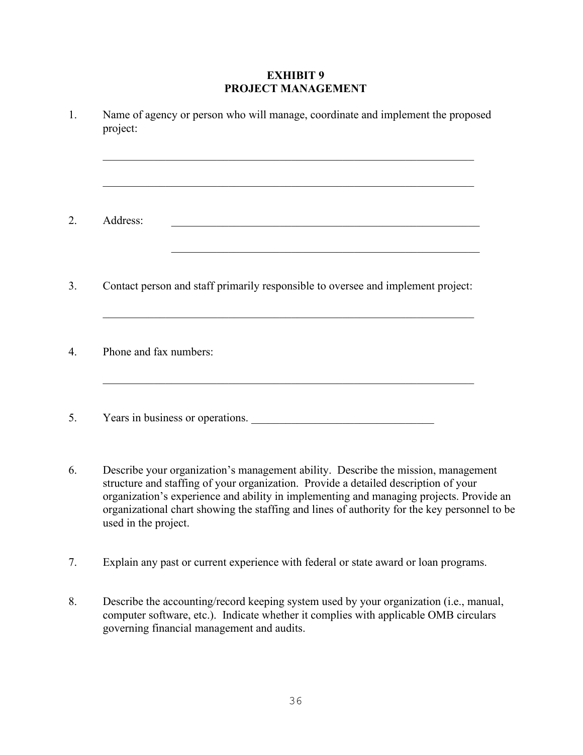## **EXHIBIT 9 PROJECT MANAGEMENT**

| Name of agency or person who will manage, coordinate and implement the proposed<br>project:                                                                                                                                                            |
|--------------------------------------------------------------------------------------------------------------------------------------------------------------------------------------------------------------------------------------------------------|
| and the control of the control of the control of the control of the control of the control of the control of the<br>Address:<br><u> 1989 - Johann John Harry Barbara, martin dia kaominina dia 40.000 komponina mpikambana amin'ny fivondronan-kao</u> |
| Contact person and staff primarily responsible to oversee and implement project:                                                                                                                                                                       |
| Phone and fax numbers:                                                                                                                                                                                                                                 |
| Years in business or operations.                                                                                                                                                                                                                       |
| Describe your organization's management ability. Describe the mission, management<br>structure and staffing of your organization. Provide a detailed description of your                                                                               |

organization's experience and ability in implementing and managing projects. Provide an organizational chart showing the staffing and lines of authority for the key personnel to be used in the project.

7. Explain any past or current experience with federal or state award or loan programs.

8. Describe the accounting/record keeping system used by your organization (i.e., manual, computer software, etc.). Indicate whether it complies with applicable OMB circulars governing financial management and audits.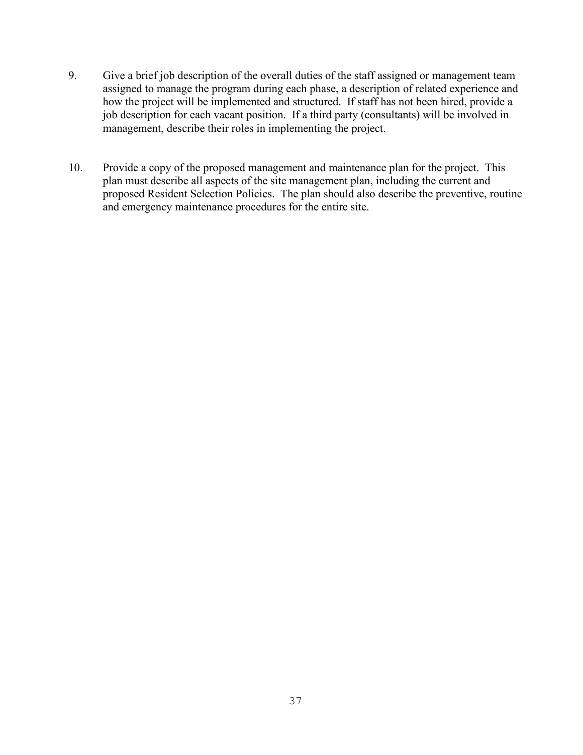- 9. Give a brief job description of the overall duties of the staff assigned or management team assigned to manage the program during each phase, a description of related experience and how the project will be implemented and structured. If staff has not been hired, provide a job description for each vacant position. If a third party (consultants) will be involved in management, describe their roles in implementing the project.
- 10. Provide a copy of the proposed management and maintenance plan for the project. This plan must describe all aspects of the site management plan, including the current and proposed Resident Selection Policies. The plan should also describe the preventive, routine and emergency maintenance procedures for the entire site.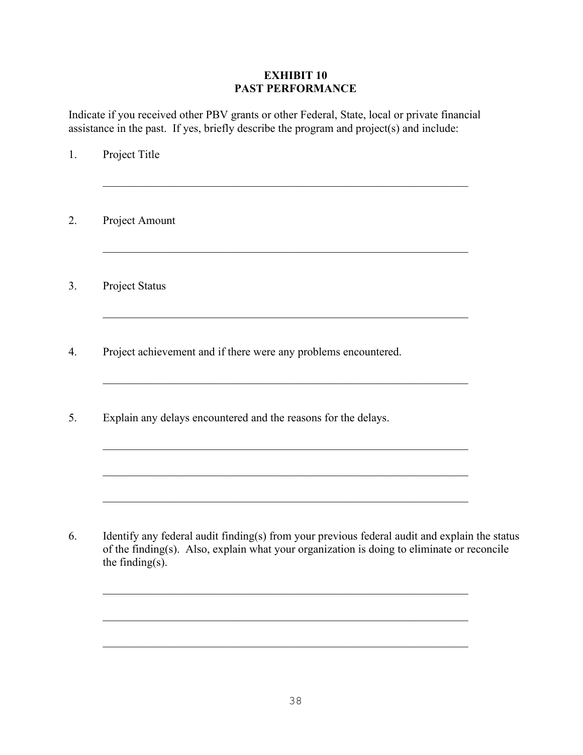## **EXHIBIT 10 PAST PERFORMANCE**

Indicate if you received other PBV grants or other Federal, State, local or private financial assistance in the past. If yes, briefly describe the program and project(s) and include:

1. Project Title \_\_\_\_\_\_\_\_\_\_\_\_\_\_\_\_\_\_\_\_\_\_\_\_\_\_\_\_\_\_\_\_\_\_\_\_\_\_\_\_\_\_\_\_\_\_\_\_\_\_\_\_\_\_\_\_\_\_\_\_\_\_\_\_ 2. Project Amount \_\_\_\_\_\_\_\_\_\_\_\_\_\_\_\_\_\_\_\_\_\_\_\_\_\_\_\_\_\_\_\_\_\_\_\_\_\_\_\_\_\_\_\_\_\_\_\_\_\_\_\_\_\_\_\_\_\_\_\_\_\_\_\_ 3. Project Status \_\_\_\_\_\_\_\_\_\_\_\_\_\_\_\_\_\_\_\_\_\_\_\_\_\_\_\_\_\_\_\_\_\_\_\_\_\_\_\_\_\_\_\_\_\_\_\_\_\_\_\_\_\_\_\_\_\_\_\_\_\_\_\_ 4. Project achievement and if there were any problems encountered. \_\_\_\_\_\_\_\_\_\_\_\_\_\_\_\_\_\_\_\_\_\_\_\_\_\_\_\_\_\_\_\_\_\_\_\_\_\_\_\_\_\_\_\_\_\_\_\_\_\_\_\_\_\_\_\_\_\_\_\_\_\_\_\_ 5. Explain any delays encountered and the reasons for the delays. \_\_\_\_\_\_\_\_\_\_\_\_\_\_\_\_\_\_\_\_\_\_\_\_\_\_\_\_\_\_\_\_\_\_\_\_\_\_\_\_\_\_\_\_\_\_\_\_\_\_\_\_\_\_\_\_\_\_\_\_\_\_\_\_ \_\_\_\_\_\_\_\_\_\_\_\_\_\_\_\_\_\_\_\_\_\_\_\_\_\_\_\_\_\_\_\_\_\_\_\_\_\_\_\_\_\_\_\_\_\_\_\_\_\_\_\_\_\_\_\_\_\_\_\_\_\_\_\_ 6. Identify any federal audit finding(s) from your previous federal audit and explain the status of the finding(s). Also, explain what your organization is doing to eliminate or reconcile the finding(s). \_\_\_\_\_\_\_\_\_\_\_\_\_\_\_\_\_\_\_\_\_\_\_\_\_\_\_\_\_\_\_\_\_\_\_\_\_\_\_\_\_\_\_\_\_\_\_\_\_\_\_\_\_\_\_\_\_\_\_\_\_\_\_\_

 $\_$  , and the set of the set of the set of the set of the set of the set of the set of the set of the set of the set of the set of the set of the set of the set of the set of the set of the set of the set of the set of th

\_\_\_\_\_\_\_\_\_\_\_\_\_\_\_\_\_\_\_\_\_\_\_\_\_\_\_\_\_\_\_\_\_\_\_\_\_\_\_\_\_\_\_\_\_\_\_\_\_\_\_\_\_\_\_\_\_\_\_\_\_\_\_\_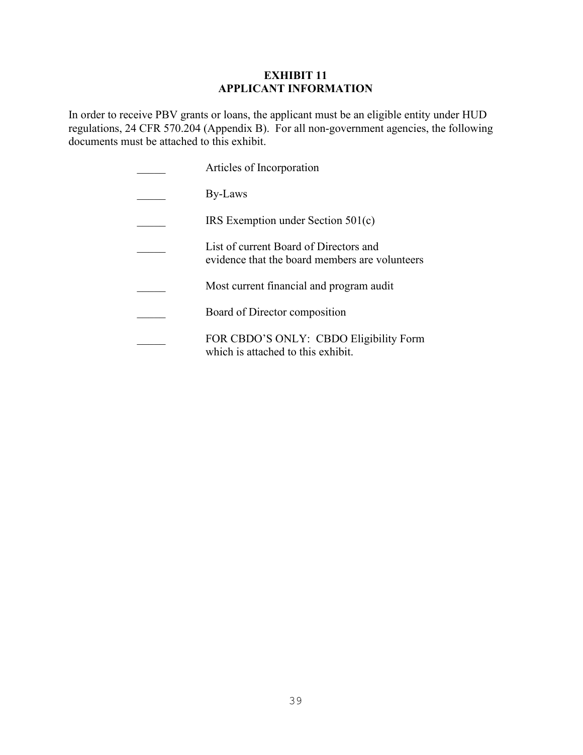## **EXHIBIT 11 APPLICANT INFORMATION**

In order to receive PBV grants or loans, the applicant must be an eligible entity under HUD regulations, 24 CFR 570.204 (Appendix B). For all non-government agencies, the following documents must be attached to this exhibit.

| Articles of Incorporation                                                                |
|------------------------------------------------------------------------------------------|
| By-Laws                                                                                  |
| IRS Exemption under Section $501(c)$                                                     |
| List of current Board of Directors and<br>evidence that the board members are volunteers |
| Most current financial and program audit                                                 |
| Board of Director composition                                                            |
| FOR CBDO'S ONLY: CBDO Eligibility Form<br>which is attached to this exhibit.             |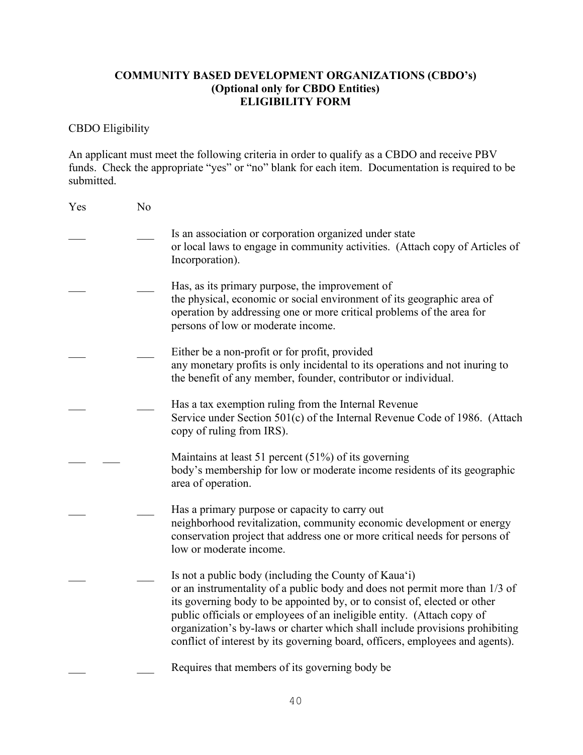# **COMMUNITY BASED DEVELOPMENT ORGANIZATIONS (CBDO's) (Optional only for CBDO Entities) ELIGIBILITY FORM**

# CBDO Eligibility

An applicant must meet the following criteria in order to qualify as a CBDO and receive PBV funds. Check the appropriate "yes" or "no" blank for each item. Documentation is required to be submitted.

| Yes | No |                                                                                                                                                                                                                                                                                                                                                                                                                                                              |
|-----|----|--------------------------------------------------------------------------------------------------------------------------------------------------------------------------------------------------------------------------------------------------------------------------------------------------------------------------------------------------------------------------------------------------------------------------------------------------------------|
|     |    | Is an association or corporation organized under state<br>or local laws to engage in community activities. (Attach copy of Articles of<br>Incorporation).                                                                                                                                                                                                                                                                                                    |
|     |    | Has, as its primary purpose, the improvement of<br>the physical, economic or social environment of its geographic area of<br>operation by addressing one or more critical problems of the area for<br>persons of low or moderate income.                                                                                                                                                                                                                     |
|     |    | Either be a non-profit or for profit, provided<br>any monetary profits is only incidental to its operations and not inuring to<br>the benefit of any member, founder, contributor or individual.                                                                                                                                                                                                                                                             |
|     |    | Has a tax exemption ruling from the Internal Revenue<br>Service under Section 501(c) of the Internal Revenue Code of 1986. (Attach<br>copy of ruling from IRS).                                                                                                                                                                                                                                                                                              |
|     |    | Maintains at least 51 percent $(51%)$ of its governing<br>body's membership for low or moderate income residents of its geographic<br>area of operation.                                                                                                                                                                                                                                                                                                     |
|     |    | Has a primary purpose or capacity to carry out<br>neighborhood revitalization, community economic development or energy<br>conservation project that address one or more critical needs for persons of<br>low or moderate income.                                                                                                                                                                                                                            |
|     |    | Is not a public body (including the County of Kaua'i)<br>or an instrumentality of a public body and does not permit more than 1/3 of<br>its governing body to be appointed by, or to consist of, elected or other<br>public officials or employees of an ineligible entity. (Attach copy of<br>organization's by-laws or charter which shall include provisions prohibiting<br>conflict of interest by its governing board, officers, employees and agents). |
|     |    | Requires that members of its governing body be                                                                                                                                                                                                                                                                                                                                                                                                               |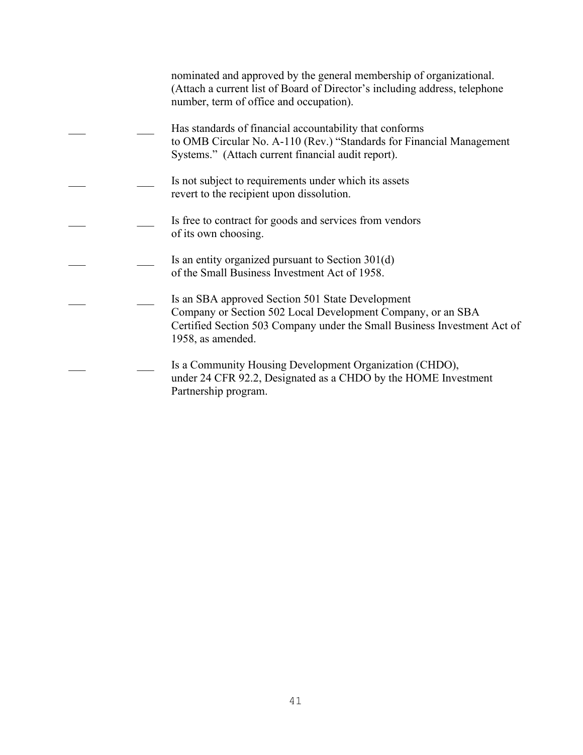|  | nominated and approved by the general membership of organizational.<br>(Attach a current list of Board of Director's including address, telephone<br>number, term of office and occupation).                     |
|--|------------------------------------------------------------------------------------------------------------------------------------------------------------------------------------------------------------------|
|  | Has standards of financial accountability that conforms<br>to OMB Circular No. A-110 (Rev.) "Standards for Financial Management<br>Systems." (Attach current financial audit report).                            |
|  | Is not subject to requirements under which its assets<br>revert to the recipient upon dissolution.                                                                                                               |
|  | Is free to contract for goods and services from vendors<br>of its own choosing.                                                                                                                                  |
|  | Is an entity organized pursuant to Section 301(d)<br>of the Small Business Investment Act of 1958.                                                                                                               |
|  | Is an SBA approved Section 501 State Development<br>Company or Section 502 Local Development Company, or an SBA<br>Certified Section 503 Company under the Small Business Investment Act of<br>1958, as amended. |
|  | Is a Community Housing Development Organization (CHDO),<br>under 24 CFR 92.2, Designated as a CHDO by the HOME Investment<br>Partnership program.                                                                |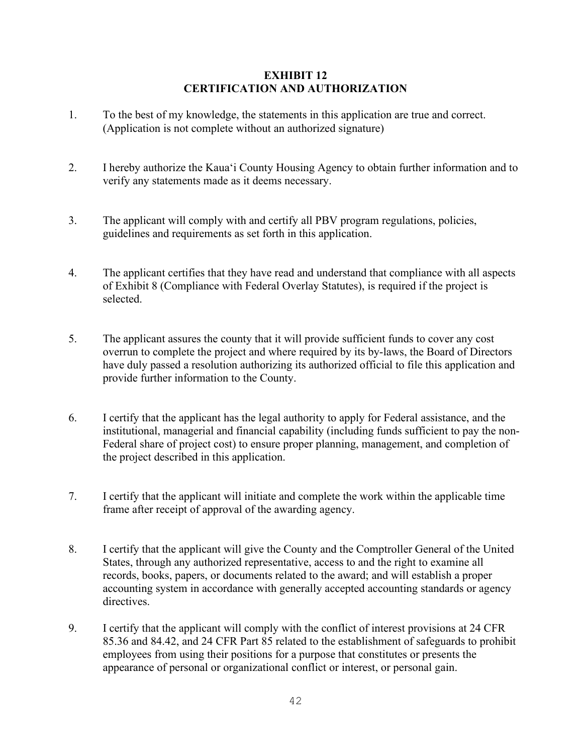## **EXHIBIT 12 CERTIFICATION AND AUTHORIZATION**

- 1. To the best of my knowledge, the statements in this application are true and correct. (Application is not complete without an authorized signature)
- 2. I hereby authorize the Kaua'i County Housing Agency to obtain further information and to verify any statements made as it deems necessary.
- 3. The applicant will comply with and certify all PBV program regulations, policies, guidelines and requirements as set forth in this application.
- 4. The applicant certifies that they have read and understand that compliance with all aspects of Exhibit 8 (Compliance with Federal Overlay Statutes), is required if the project is selected.
- 5. The applicant assures the county that it will provide sufficient funds to cover any cost overrun to complete the project and where required by its by-laws, the Board of Directors have duly passed a resolution authorizing its authorized official to file this application and provide further information to the County.
- 6. I certify that the applicant has the legal authority to apply for Federal assistance, and the institutional, managerial and financial capability (including funds sufficient to pay the non-Federal share of project cost) to ensure proper planning, management, and completion of the project described in this application.
- 7. I certify that the applicant will initiate and complete the work within the applicable time frame after receipt of approval of the awarding agency.
- 8. I certify that the applicant will give the County and the Comptroller General of the United States, through any authorized representative, access to and the right to examine all records, books, papers, or documents related to the award; and will establish a proper accounting system in accordance with generally accepted accounting standards or agency directives.
- 9. I certify that the applicant will comply with the conflict of interest provisions at 24 CFR 85.36 and 84.42, and 24 CFR Part 85 related to the establishment of safeguards to prohibit employees from using their positions for a purpose that constitutes or presents the appearance of personal or organizational conflict or interest, or personal gain.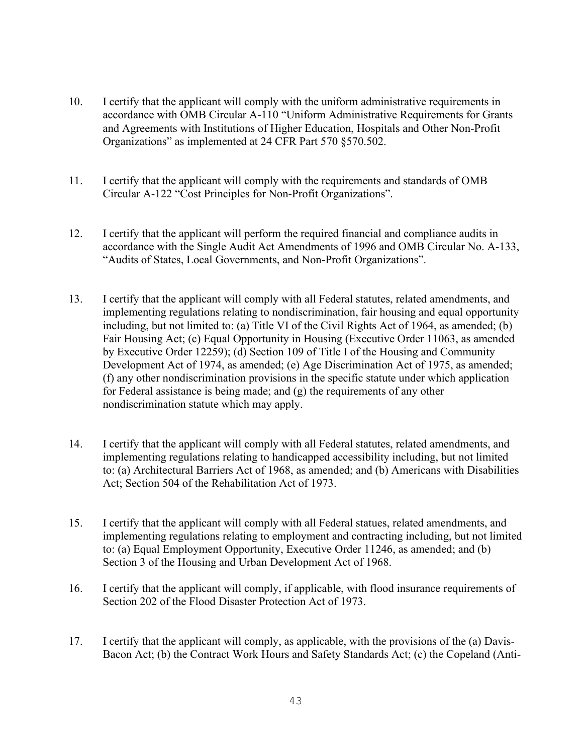- 10. I certify that the applicant will comply with the uniform administrative requirements in accordance with OMB Circular A-110 "Uniform Administrative Requirements for Grants and Agreements with Institutions of Higher Education, Hospitals and Other Non-Profit Organizations" as implemented at 24 CFR Part 570 §570.502.
- 11. I certify that the applicant will comply with the requirements and standards of OMB Circular A-122 "Cost Principles for Non-Profit Organizations".
- 12. I certify that the applicant will perform the required financial and compliance audits in accordance with the Single Audit Act Amendments of 1996 and OMB Circular No. A-133, "Audits of States, Local Governments, and Non-Profit Organizations".
- 13. I certify that the applicant will comply with all Federal statutes, related amendments, and implementing regulations relating to nondiscrimination, fair housing and equal opportunity including, but not limited to: (a) Title VI of the Civil Rights Act of 1964, as amended; (b) Fair Housing Act; (c) Equal Opportunity in Housing (Executive Order 11063, as amended by Executive Order 12259); (d) Section 109 of Title I of the Housing and Community Development Act of 1974, as amended; (e) Age Discrimination Act of 1975, as amended; (f) any other nondiscrimination provisions in the specific statute under which application for Federal assistance is being made; and (g) the requirements of any other nondiscrimination statute which may apply.
- 14. I certify that the applicant will comply with all Federal statutes, related amendments, and implementing regulations relating to handicapped accessibility including, but not limited to: (a) Architectural Barriers Act of 1968, as amended; and (b) Americans with Disabilities Act; Section 504 of the Rehabilitation Act of 1973.
- 15. I certify that the applicant will comply with all Federal statues, related amendments, and implementing regulations relating to employment and contracting including, but not limited to: (a) Equal Employment Opportunity, Executive Order 11246, as amended; and (b) Section 3 of the Housing and Urban Development Act of 1968.
- 16. I certify that the applicant will comply, if applicable, with flood insurance requirements of Section 202 of the Flood Disaster Protection Act of 1973.
- 17. I certify that the applicant will comply, as applicable, with the provisions of the (a) Davis-Bacon Act; (b) the Contract Work Hours and Safety Standards Act; (c) the Copeland (Anti-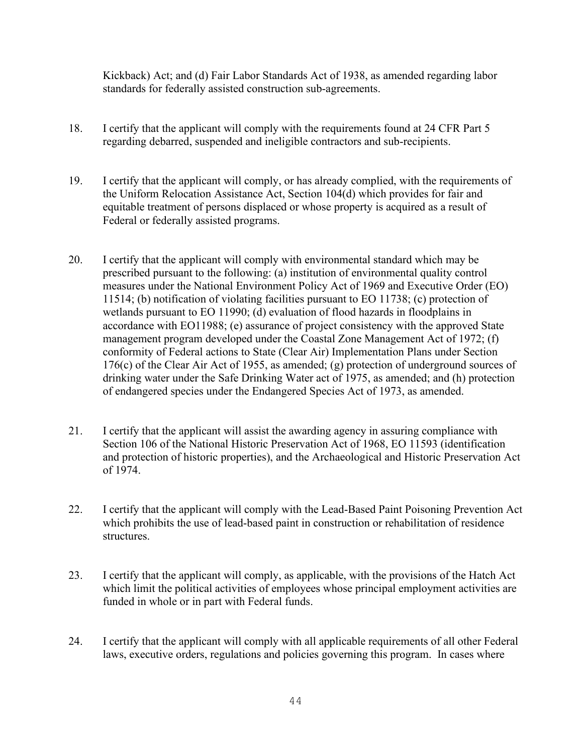Kickback) Act; and (d) Fair Labor Standards Act of 1938, as amended regarding labor standards for federally assisted construction sub-agreements.

- 18. I certify that the applicant will comply with the requirements found at 24 CFR Part 5 regarding debarred, suspended and ineligible contractors and sub-recipients.
- 19. I certify that the applicant will comply, or has already complied, with the requirements of the Uniform Relocation Assistance Act, Section 104(d) which provides for fair and equitable treatment of persons displaced or whose property is acquired as a result of Federal or federally assisted programs.
- 20. I certify that the applicant will comply with environmental standard which may be prescribed pursuant to the following: (a) institution of environmental quality control measures under the National Environment Policy Act of 1969 and Executive Order (EO) 11514; (b) notification of violating facilities pursuant to EO 11738; (c) protection of wetlands pursuant to EO 11990; (d) evaluation of flood hazards in floodplains in accordance with EO11988; (e) assurance of project consistency with the approved State management program developed under the Coastal Zone Management Act of 1972; (f) conformity of Federal actions to State (Clear Air) Implementation Plans under Section 176(c) of the Clear Air Act of 1955, as amended; (g) protection of underground sources of drinking water under the Safe Drinking Water act of 1975, as amended; and (h) protection of endangered species under the Endangered Species Act of 1973, as amended.
- 21. I certify that the applicant will assist the awarding agency in assuring compliance with Section 106 of the National Historic Preservation Act of 1968, EO 11593 (identification and protection of historic properties), and the Archaeological and Historic Preservation Act of 1974.
- 22. I certify that the applicant will comply with the Lead-Based Paint Poisoning Prevention Act which prohibits the use of lead-based paint in construction or rehabilitation of residence structures.
- 23. I certify that the applicant will comply, as applicable, with the provisions of the Hatch Act which limit the political activities of employees whose principal employment activities are funded in whole or in part with Federal funds.
- 24. I certify that the applicant will comply with all applicable requirements of all other Federal laws, executive orders, regulations and policies governing this program. In cases where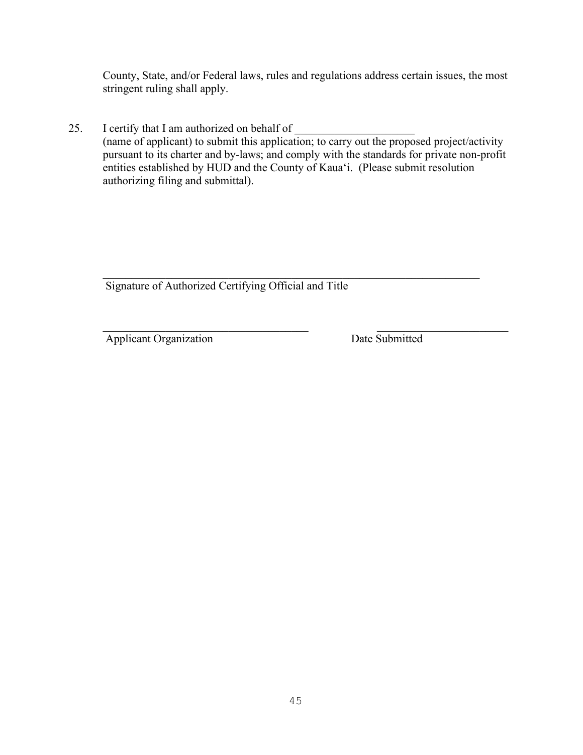County, State, and/or Federal laws, rules and regulations address certain issues, the most stringent ruling shall apply.

25. I certify that I am authorized on behalf of (name of applicant) to submit this application; to carry out the proposed project/activity pursuant to its charter and by-laws; and comply with the standards for private non-profit entities established by HUD and the County of Kaua'i. (Please submit resolution authorizing filing and submittal).

 $\mathcal{L}_\text{G}$ Signature of Authorized Certifying Official and Title

Applicant Organization Date Submitted

 $\mathcal{L}_\text{max}$  , and the contribution of the contribution of the contribution of the contribution of the contribution of the contribution of the contribution of the contribution of the contribution of the contribution of t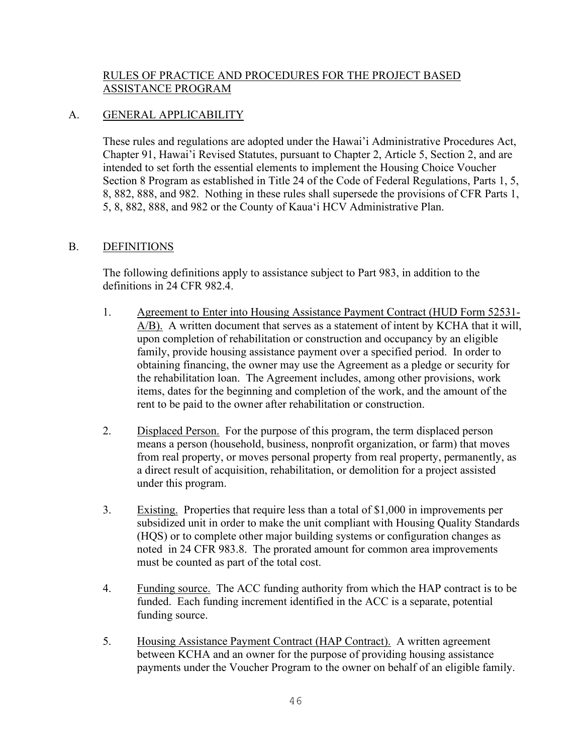## RULES OF PRACTICE AND PROCEDURES FOR THE PROJECT BASED ASSISTANCE PROGRAM

## A. GENERAL APPLICABILITY

These rules and regulations are adopted under the Hawai'i Administrative Procedures Act, Chapter 91, Hawai'i Revised Statutes, pursuant to Chapter 2, Article 5, Section 2, and are intended to set forth the essential elements to implement the Housing Choice Voucher Section 8 Program as established in Title 24 of the Code of Federal Regulations, Parts 1, 5, 8, 882, 888, and 982. Nothing in these rules shall supersede the provisions of CFR Parts 1, 5, 8, 882, 888, and 982 or the County of Kaua'i HCV Administrative Plan.

### B. DEFINITIONS

The following definitions apply to assistance subject to Part 983, in addition to the definitions in 24 CFR 982.4.

- 1. Agreement to Enter into Housing Assistance Payment Contract (HUD Form 52531- A/B). A written document that serves as a statement of intent by KCHA that it will, upon completion of rehabilitation or construction and occupancy by an eligible family, provide housing assistance payment over a specified period. In order to obtaining financing, the owner may use the Agreement as a pledge or security for the rehabilitation loan. The Agreement includes, among other provisions, work items, dates for the beginning and completion of the work, and the amount of the rent to be paid to the owner after rehabilitation or construction.
- 2. Displaced Person. For the purpose of this program, the term displaced person means a person (household, business, nonprofit organization, or farm) that moves from real property, or moves personal property from real property, permanently, as a direct result of acquisition, rehabilitation, or demolition for a project assisted under this program.
- 3. Existing. Properties that require less than a total of \$1,000 in improvements per subsidized unit in order to make the unit compliant with Housing Quality Standards (HQS) or to complete other major building systems or configuration changes as noted in 24 CFR 983.8. The prorated amount for common area improvements must be counted as part of the total cost.
- 4. Funding source. The ACC funding authority from which the HAP contract is to be funded. Each funding increment identified in the ACC is a separate, potential funding source.
- 5. Housing Assistance Payment Contract (HAP Contract). A written agreement between KCHA and an owner for the purpose of providing housing assistance payments under the Voucher Program to the owner on behalf of an eligible family.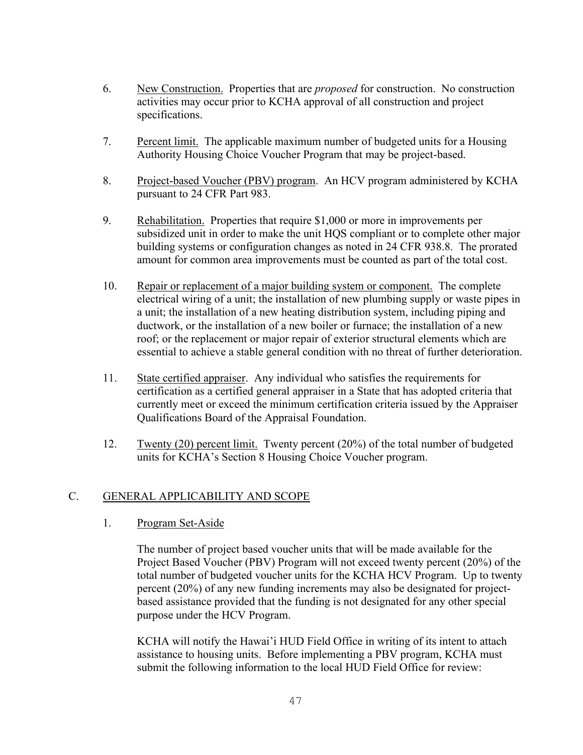- 6. New Construction. Properties that are *proposed* for construction. No construction activities may occur prior to KCHA approval of all construction and project specifications.
- 7. Percent limit. The applicable maximum number of budgeted units for a Housing Authority Housing Choice Voucher Program that may be project-based.
- 8. Project-based Voucher (PBV) program. An HCV program administered by KCHA pursuant to 24 CFR Part 983.
- 9. Rehabilitation. Properties that require \$1,000 or more in improvements per subsidized unit in order to make the unit HQS compliant or to complete other major building systems or configuration changes as noted in 24 CFR 938.8. The prorated amount for common area improvements must be counted as part of the total cost.
- 10. Repair or replacement of a major building system or component. The complete electrical wiring of a unit; the installation of new plumbing supply or waste pipes in a unit; the installation of a new heating distribution system, including piping and ductwork, or the installation of a new boiler or furnace; the installation of a new roof; or the replacement or major repair of exterior structural elements which are essential to achieve a stable general condition with no threat of further deterioration.
- 11. State certified appraiser. Any individual who satisfies the requirements for certification as a certified general appraiser in a State that has adopted criteria that currently meet or exceed the minimum certification criteria issued by the Appraiser Qualifications Board of the Appraisal Foundation.
- 12. Twenty (20) percent limit. Twenty percent (20%) of the total number of budgeted units for KCHA's Section 8 Housing Choice Voucher program.

# C. GENERAL APPLICABILITY AND SCOPE

### 1. Program Set-Aside

The number of project based voucher units that will be made available for the Project Based Voucher (PBV) Program will not exceed twenty percent (20%) of the total number of budgeted voucher units for the KCHA HCV Program. Up to twenty percent (20%) of any new funding increments may also be designated for projectbased assistance provided that the funding is not designated for any other special purpose under the HCV Program.

KCHA will notify the Hawai'i HUD Field Office in writing of its intent to attach assistance to housing units. Before implementing a PBV program, KCHA must submit the following information to the local HUD Field Office for review: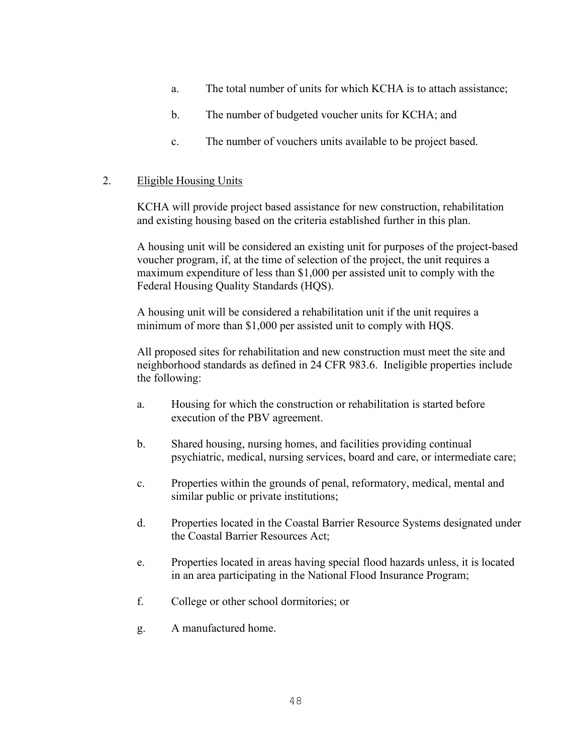- a. The total number of units for which KCHA is to attach assistance;
- b. The number of budgeted voucher units for KCHA; and
- c. The number of vouchers units available to be project based.

## 2. Eligible Housing Units

KCHA will provide project based assistance for new construction, rehabilitation and existing housing based on the criteria established further in this plan.

A housing unit will be considered an existing unit for purposes of the project-based voucher program, if, at the time of selection of the project, the unit requires a maximum expenditure of less than \$1,000 per assisted unit to comply with the Federal Housing Quality Standards (HQS).

A housing unit will be considered a rehabilitation unit if the unit requires a minimum of more than \$1,000 per assisted unit to comply with HQS.

All proposed sites for rehabilitation and new construction must meet the site and neighborhood standards as defined in 24 CFR 983.6. Ineligible properties include the following:

- a. Housing for which the construction or rehabilitation is started before execution of the PBV agreement.
- b. Shared housing, nursing homes, and facilities providing continual psychiatric, medical, nursing services, board and care, or intermediate care;
- c. Properties within the grounds of penal, reformatory, medical, mental and similar public or private institutions;
- d. Properties located in the Coastal Barrier Resource Systems designated under the Coastal Barrier Resources Act;
- e. Properties located in areas having special flood hazards unless, it is located in an area participating in the National Flood Insurance Program;
- f. College or other school dormitories; or
- g. A manufactured home.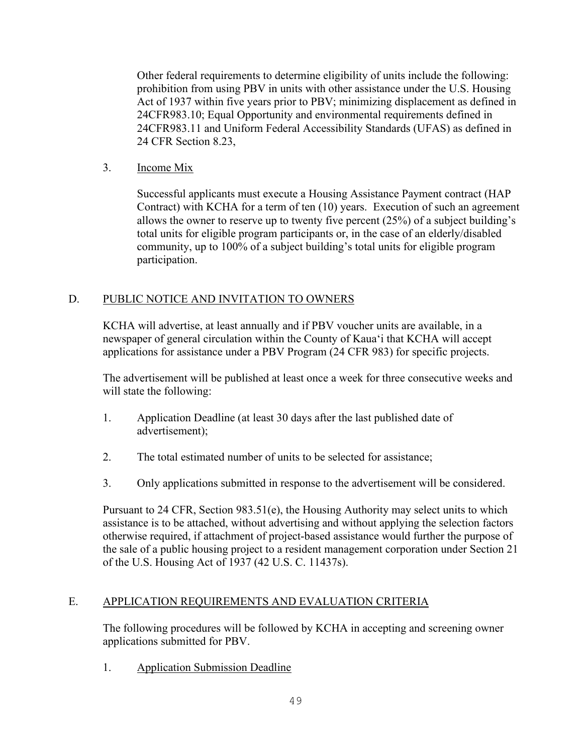Other federal requirements to determine eligibility of units include the following: prohibition from using PBV in units with other assistance under the U.S. Housing Act of 1937 within five years prior to PBV; minimizing displacement as defined in 24CFR983.10; Equal Opportunity and environmental requirements defined in 24CFR983.11 and Uniform Federal Accessibility Standards (UFAS) as defined in 24 CFR Section 8.23,

3. Income Mix

Successful applicants must execute a Housing Assistance Payment contract (HAP Contract) with KCHA for a term of ten (10) years. Execution of such an agreement allows the owner to reserve up to twenty five percent (25%) of a subject building's total units for eligible program participants or, in the case of an elderly/disabled community, up to 100% of a subject building's total units for eligible program participation.

# D. PUBLIC NOTICE AND INVITATION TO OWNERS

KCHA will advertise, at least annually and if PBV voucher units are available, in a newspaper of general circulation within the County of Kaua'i that KCHA will accept applications for assistance under a PBV Program (24 CFR 983) for specific projects.

The advertisement will be published at least once a week for three consecutive weeks and will state the following:

- 1. Application Deadline (at least 30 days after the last published date of advertisement);
- 2. The total estimated number of units to be selected for assistance;
- 3. Only applications submitted in response to the advertisement will be considered.

Pursuant to 24 CFR, Section 983.51(e), the Housing Authority may select units to which assistance is to be attached, without advertising and without applying the selection factors otherwise required, if attachment of project-based assistance would further the purpose of the sale of a public housing project to a resident management corporation under Section 21 of the U.S. Housing Act of 1937 (42 U.S. C. 11437s).

# E. APPLICATION REQUIREMENTS AND EVALUATION CRITERIA

The following procedures will be followed by KCHA in accepting and screening owner applications submitted for PBV.

1. Application Submission Deadline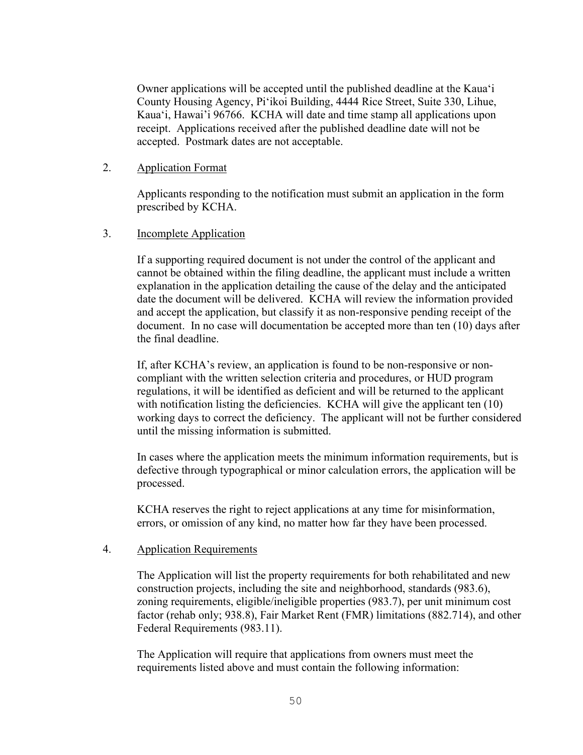Owner applications will be accepted until the published deadline at the Kaua'i County Housing Agency, Pi'ikoi Building, 4444 Rice Street, Suite 330, Lihue, Kaua'i, Hawai'i 96766. KCHA will date and time stamp all applications upon receipt. Applications received after the published deadline date will not be accepted. Postmark dates are not acceptable.

2. Application Format

Applicants responding to the notification must submit an application in the form prescribed by KCHA.

3. Incomplete Application

If a supporting required document is not under the control of the applicant and cannot be obtained within the filing deadline, the applicant must include a written explanation in the application detailing the cause of the delay and the anticipated date the document will be delivered. KCHA will review the information provided and accept the application, but classify it as non-responsive pending receipt of the document. In no case will documentation be accepted more than ten (10) days after the final deadline.

If, after KCHA's review, an application is found to be non-responsive or noncompliant with the written selection criteria and procedures, or HUD program regulations, it will be identified as deficient and will be returned to the applicant with notification listing the deficiencies. KCHA will give the applicant ten (10) working days to correct the deficiency. The applicant will not be further considered until the missing information is submitted.

In cases where the application meets the minimum information requirements, but is defective through typographical or minor calculation errors, the application will be processed.

KCHA reserves the right to reject applications at any time for misinformation, errors, or omission of any kind, no matter how far they have been processed.

### 4. Application Requirements

The Application will list the property requirements for both rehabilitated and new construction projects, including the site and neighborhood, standards (983.6), zoning requirements, eligible/ineligible properties (983.7), per unit minimum cost factor (rehab only; 938.8), Fair Market Rent (FMR) limitations (882.714), and other Federal Requirements (983.11).

The Application will require that applications from owners must meet the requirements listed above and must contain the following information: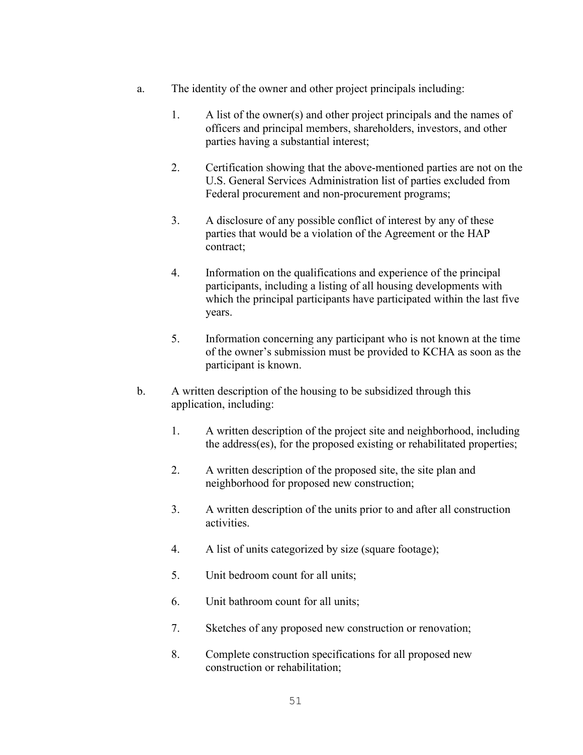- a. The identity of the owner and other project principals including:
	- 1. A list of the owner(s) and other project principals and the names of officers and principal members, shareholders, investors, and other parties having a substantial interest;
	- 2. Certification showing that the above-mentioned parties are not on the U.S. General Services Administration list of parties excluded from Federal procurement and non-procurement programs;
	- 3. A disclosure of any possible conflict of interest by any of these parties that would be a violation of the Agreement or the HAP contract;
	- 4. Information on the qualifications and experience of the principal participants, including a listing of all housing developments with which the principal participants have participated within the last five years.
	- 5. Information concerning any participant who is not known at the time of the owner's submission must be provided to KCHA as soon as the participant is known.
- b. A written description of the housing to be subsidized through this application, including:
	- 1. A written description of the project site and neighborhood, including the address(es), for the proposed existing or rehabilitated properties;
	- 2. A written description of the proposed site, the site plan and neighborhood for proposed new construction;
	- 3. A written description of the units prior to and after all construction activities.
	- 4. A list of units categorized by size (square footage);
	- 5. Unit bedroom count for all units;
	- 6. Unit bathroom count for all units;
	- 7. Sketches of any proposed new construction or renovation;
	- 8. Complete construction specifications for all proposed new construction or rehabilitation;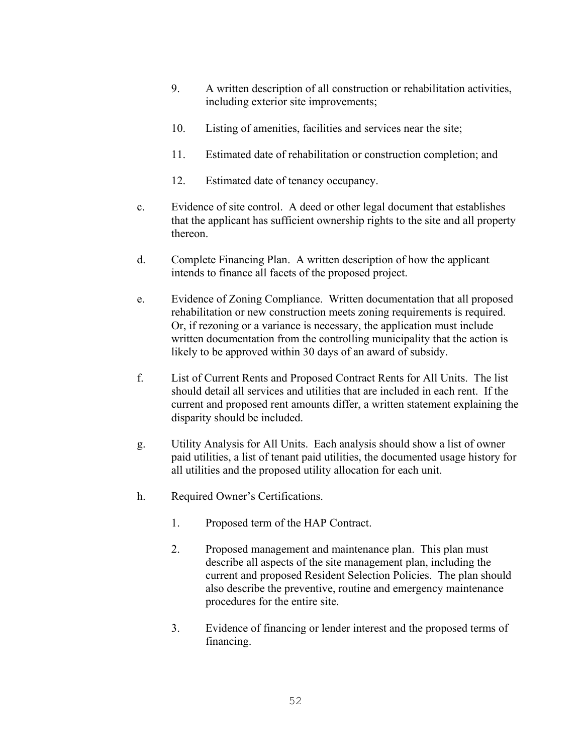- 9. A written description of all construction or rehabilitation activities, including exterior site improvements;
- 10. Listing of amenities, facilities and services near the site;
- 11. Estimated date of rehabilitation or construction completion; and
- 12. Estimated date of tenancy occupancy.
- c. Evidence of site control. A deed or other legal document that establishes that the applicant has sufficient ownership rights to the site and all property thereon.
- d. Complete Financing Plan. A written description of how the applicant intends to finance all facets of the proposed project.
- e. Evidence of Zoning Compliance. Written documentation that all proposed rehabilitation or new construction meets zoning requirements is required. Or, if rezoning or a variance is necessary, the application must include written documentation from the controlling municipality that the action is likely to be approved within 30 days of an award of subsidy.
- f. List of Current Rents and Proposed Contract Rents for All Units. The list should detail all services and utilities that are included in each rent. If the current and proposed rent amounts differ, a written statement explaining the disparity should be included.
- g. Utility Analysis for All Units. Each analysis should show a list of owner paid utilities, a list of tenant paid utilities, the documented usage history for all utilities and the proposed utility allocation for each unit.
- h. Required Owner's Certifications.
	- 1. Proposed term of the HAP Contract.
	- 2. Proposed management and maintenance plan. This plan must describe all aspects of the site management plan, including the current and proposed Resident Selection Policies. The plan should also describe the preventive, routine and emergency maintenance procedures for the entire site.
	- 3. Evidence of financing or lender interest and the proposed terms of financing.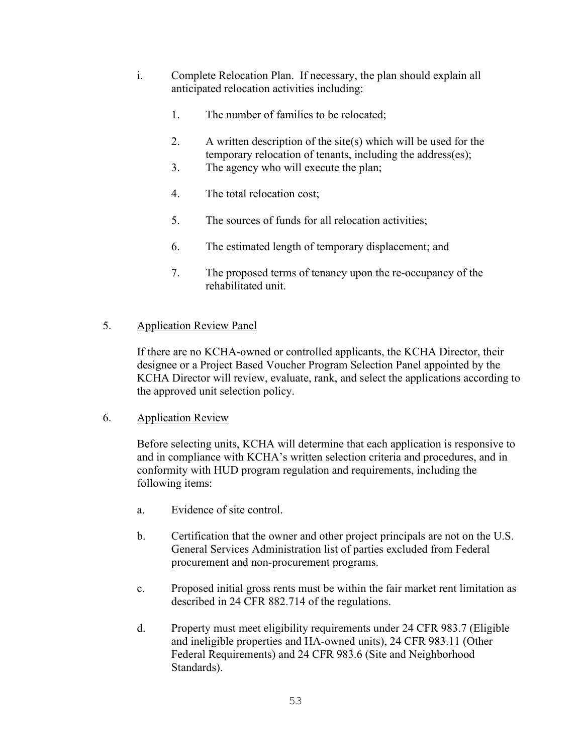- i. Complete Relocation Plan. If necessary, the plan should explain all anticipated relocation activities including:
	- 1. The number of families to be relocated;
	- 2. A written description of the site(s) which will be used for the temporary relocation of tenants, including the address(es);
	- 3. The agency who will execute the plan;
	- 4. The total relocation cost;
	- 5. The sources of funds for all relocation activities;
	- 6. The estimated length of temporary displacement; and
	- 7. The proposed terms of tenancy upon the re-occupancy of the rehabilitated unit.

## 5. Application Review Panel

If there are no KCHA-owned or controlled applicants, the KCHA Director, their designee or a Project Based Voucher Program Selection Panel appointed by the KCHA Director will review, evaluate, rank, and select the applications according to the approved unit selection policy.

### 6. Application Review

Before selecting units, KCHA will determine that each application is responsive to and in compliance with KCHA's written selection criteria and procedures, and in conformity with HUD program regulation and requirements, including the following items:

- a. Evidence of site control.
- b. Certification that the owner and other project principals are not on the U.S. General Services Administration list of parties excluded from Federal procurement and non-procurement programs.
- c. Proposed initial gross rents must be within the fair market rent limitation as described in 24 CFR 882.714 of the regulations.
- d. Property must meet eligibility requirements under 24 CFR 983.7 (Eligible and ineligible properties and HA-owned units), 24 CFR 983.11 (Other Federal Requirements) and 24 CFR 983.6 (Site and Neighborhood Standards).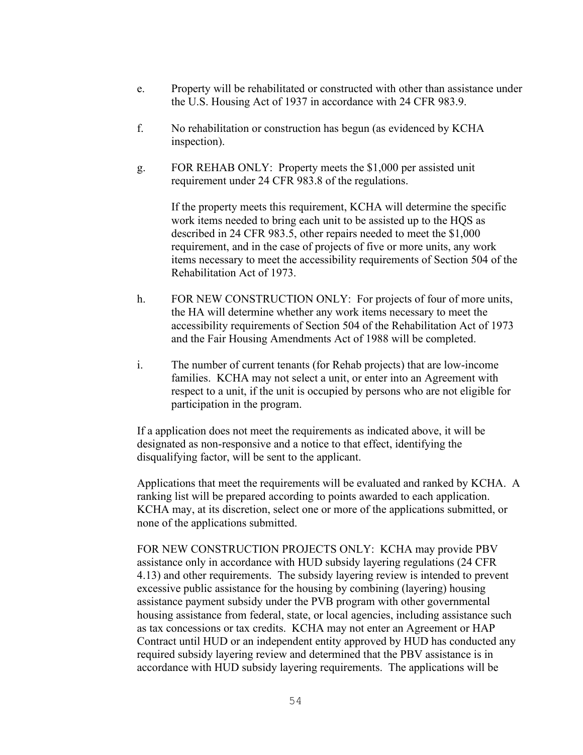- e. Property will be rehabilitated or constructed with other than assistance under the U.S. Housing Act of 1937 in accordance with 24 CFR 983.9.
- f. No rehabilitation or construction has begun (as evidenced by KCHA inspection).
- g. FOR REHAB ONLY: Property meets the \$1,000 per assisted unit requirement under 24 CFR 983.8 of the regulations.

If the property meets this requirement, KCHA will determine the specific work items needed to bring each unit to be assisted up to the HQS as described in 24 CFR 983.5, other repairs needed to meet the \$1,000 requirement, and in the case of projects of five or more units, any work items necessary to meet the accessibility requirements of Section 504 of the Rehabilitation Act of 1973.

- h. FOR NEW CONSTRUCTION ONLY: For projects of four of more units, the HA will determine whether any work items necessary to meet the accessibility requirements of Section 504 of the Rehabilitation Act of 1973 and the Fair Housing Amendments Act of 1988 will be completed.
- i. The number of current tenants (for Rehab projects) that are low-income families. KCHA may not select a unit, or enter into an Agreement with respect to a unit, if the unit is occupied by persons who are not eligible for participation in the program.

If a application does not meet the requirements as indicated above, it will be designated as non-responsive and a notice to that effect, identifying the disqualifying factor, will be sent to the applicant.

Applications that meet the requirements will be evaluated and ranked by KCHA. A ranking list will be prepared according to points awarded to each application. KCHA may, at its discretion, select one or more of the applications submitted, or none of the applications submitted.

FOR NEW CONSTRUCTION PROJECTS ONLY: KCHA may provide PBV assistance only in accordance with HUD subsidy layering regulations (24 CFR 4.13) and other requirements. The subsidy layering review is intended to prevent excessive public assistance for the housing by combining (layering) housing assistance payment subsidy under the PVB program with other governmental housing assistance from federal, state, or local agencies, including assistance such as tax concessions or tax credits. KCHA may not enter an Agreement or HAP Contract until HUD or an independent entity approved by HUD has conducted any required subsidy layering review and determined that the PBV assistance is in accordance with HUD subsidy layering requirements. The applications will be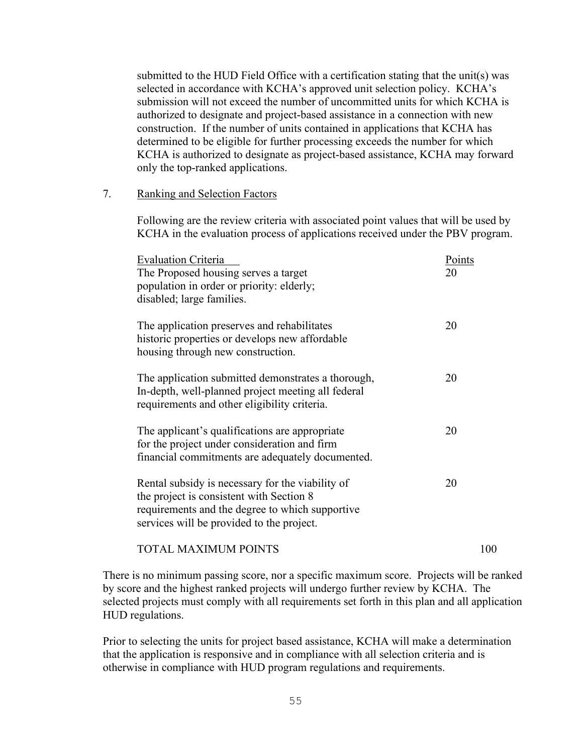submitted to the HUD Field Office with a certification stating that the unit(s) was selected in accordance with KCHA's approved unit selection policy. KCHA's submission will not exceed the number of uncommitted units for which KCHA is authorized to designate and project-based assistance in a connection with new construction. If the number of units contained in applications that KCHA has determined to be eligible for further processing exceeds the number for which KCHA is authorized to designate as project-based assistance, KCHA may forward only the top-ranked applications.

#### 7. Ranking and Selection Factors

Following are the review criteria with associated point values that will be used by KCHA in the evaluation process of applications received under the PBV program.

| <b>Evaluation Criteria</b><br>The Proposed housing serves a target<br>population in order or priority: elderly;<br>disabled; large families.                                                 | Points<br>20 |
|----------------------------------------------------------------------------------------------------------------------------------------------------------------------------------------------|--------------|
| The application preserves and rehabilitates<br>historic properties or develops new affordable<br>housing through new construction.                                                           | 20           |
| The application submitted demonstrates a thorough,<br>In-depth, well-planned project meeting all federal<br>requirements and other eligibility criteria.                                     | 20           |
| The applicant's qualifications are appropriate<br>for the project under consideration and firm<br>financial commitments are adequately documented.                                           | 20           |
| Rental subsidy is necessary for the viability of<br>the project is consistent with Section 8<br>requirements and the degree to which supportive<br>services will be provided to the project. | 20           |
| <b>TOTAL MAXIMUM POINTS</b>                                                                                                                                                                  | 100          |

There is no minimum passing score, nor a specific maximum score. Projects will be ranked by score and the highest ranked projects will undergo further review by KCHA. The selected projects must comply with all requirements set forth in this plan and all application HUD regulations.

Prior to selecting the units for project based assistance, KCHA will make a determination that the application is responsive and in compliance with all selection criteria and is otherwise in compliance with HUD program regulations and requirements.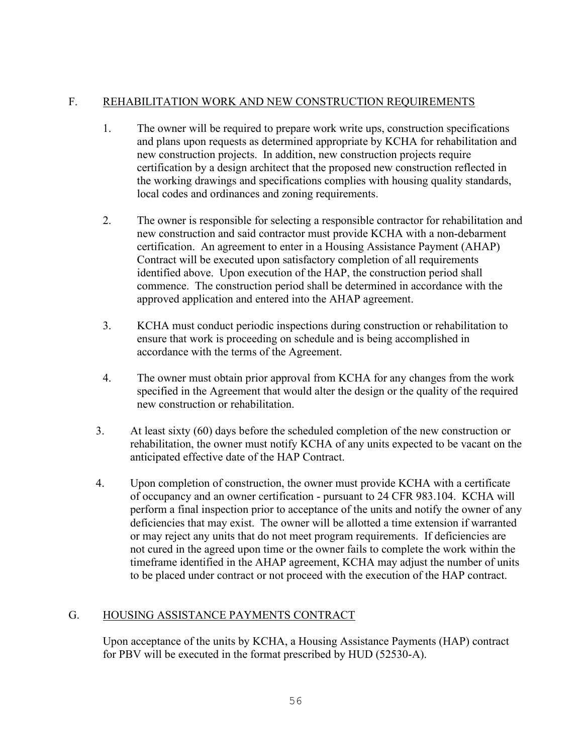# F. REHABILITATION WORK AND NEW CONSTRUCTION REQUIREMENTS

- 1. The owner will be required to prepare work write ups, construction specifications and plans upon requests as determined appropriate by KCHA for rehabilitation and new construction projects. In addition, new construction projects require certification by a design architect that the proposed new construction reflected in the working drawings and specifications complies with housing quality standards, local codes and ordinances and zoning requirements.
- 2. The owner is responsible for selecting a responsible contractor for rehabilitation and new construction and said contractor must provide KCHA with a non-debarment certification. An agreement to enter in a Housing Assistance Payment (AHAP) Contract will be executed upon satisfactory completion of all requirements identified above. Upon execution of the HAP, the construction period shall commence. The construction period shall be determined in accordance with the approved application and entered into the AHAP agreement.
- 3. KCHA must conduct periodic inspections during construction or rehabilitation to ensure that work is proceeding on schedule and is being accomplished in accordance with the terms of the Agreement.
- 4. The owner must obtain prior approval from KCHA for any changes from the work specified in the Agreement that would alter the design or the quality of the required new construction or rehabilitation.
- 3. At least sixty (60) days before the scheduled completion of the new construction or rehabilitation, the owner must notify KCHA of any units expected to be vacant on the anticipated effective date of the HAP Contract.
- 4. Upon completion of construction, the owner must provide KCHA with a certificate of occupancy and an owner certification - pursuant to 24 CFR 983.104. KCHA will perform a final inspection prior to acceptance of the units and notify the owner of any deficiencies that may exist. The owner will be allotted a time extension if warranted or may reject any units that do not meet program requirements. If deficiencies are not cured in the agreed upon time or the owner fails to complete the work within the timeframe identified in the AHAP agreement, KCHA may adjust the number of units to be placed under contract or not proceed with the execution of the HAP contract.

# G. HOUSING ASSISTANCE PAYMENTS CONTRACT

Upon acceptance of the units by KCHA, a Housing Assistance Payments (HAP) contract for PBV will be executed in the format prescribed by HUD (52530-A).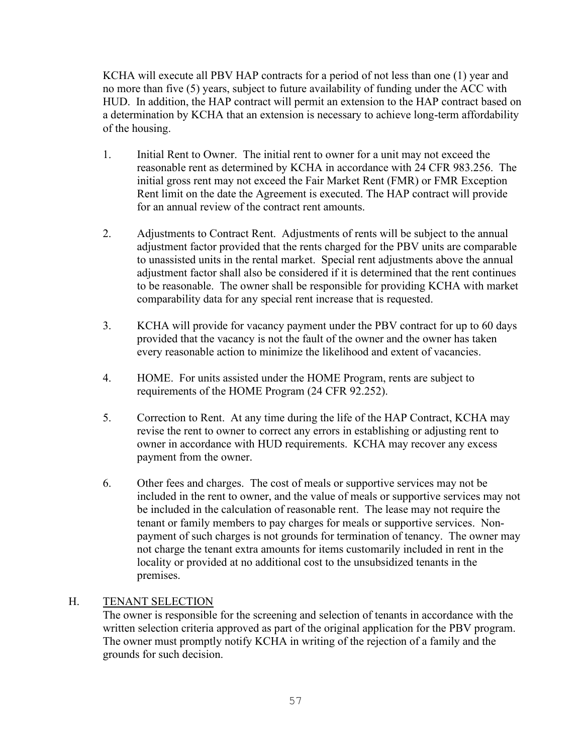KCHA will execute all PBV HAP contracts for a period of not less than one (1) year and no more than five (5) years, subject to future availability of funding under the ACC with HUD. In addition, the HAP contract will permit an extension to the HAP contract based on a determination by KCHA that an extension is necessary to achieve long-term affordability of the housing.

- 1. Initial Rent to Owner. The initial rent to owner for a unit may not exceed the reasonable rent as determined by KCHA in accordance with 24 CFR 983.256. The initial gross rent may not exceed the Fair Market Rent (FMR) or FMR Exception Rent limit on the date the Agreement is executed. The HAP contract will provide for an annual review of the contract rent amounts.
- 2. Adjustments to Contract Rent. Adjustments of rents will be subject to the annual adjustment factor provided that the rents charged for the PBV units are comparable to unassisted units in the rental market. Special rent adjustments above the annual adjustment factor shall also be considered if it is determined that the rent continues to be reasonable. The owner shall be responsible for providing KCHA with market comparability data for any special rent increase that is requested.
- 3. KCHA will provide for vacancy payment under the PBV contract for up to 60 days provided that the vacancy is not the fault of the owner and the owner has taken every reasonable action to minimize the likelihood and extent of vacancies.
- 4. HOME. For units assisted under the HOME Program, rents are subject to requirements of the HOME Program (24 CFR 92.252).
- 5. Correction to Rent. At any time during the life of the HAP Contract, KCHA may revise the rent to owner to correct any errors in establishing or adjusting rent to owner in accordance with HUD requirements. KCHA may recover any excess payment from the owner.
- 6. Other fees and charges. The cost of meals or supportive services may not be included in the rent to owner, and the value of meals or supportive services may not be included in the calculation of reasonable rent. The lease may not require the tenant or family members to pay charges for meals or supportive services. Nonpayment of such charges is not grounds for termination of tenancy. The owner may not charge the tenant extra amounts for items customarily included in rent in the locality or provided at no additional cost to the unsubsidized tenants in the premises.

### H. TENANT SELECTION

The owner is responsible for the screening and selection of tenants in accordance with the written selection criteria approved as part of the original application for the PBV program. The owner must promptly notify KCHA in writing of the rejection of a family and the grounds for such decision.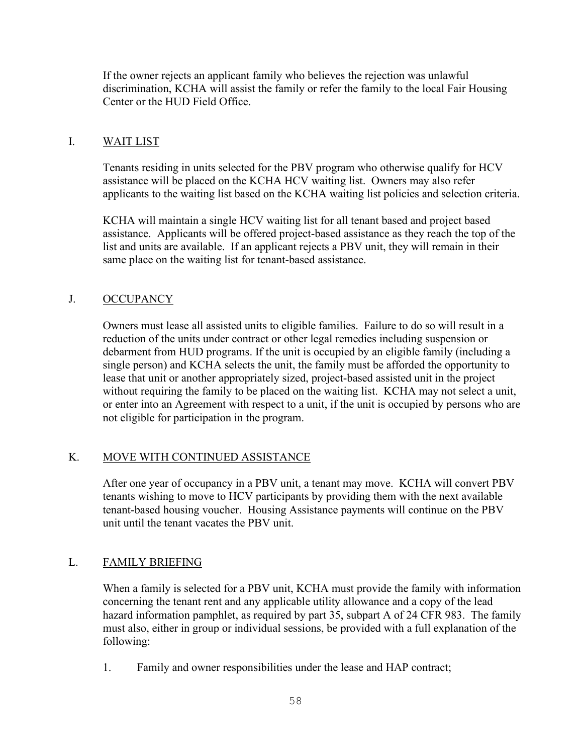If the owner rejects an applicant family who believes the rejection was unlawful discrimination, KCHA will assist the family or refer the family to the local Fair Housing Center or the HUD Field Office.

## I. WAIT LIST

Tenants residing in units selected for the PBV program who otherwise qualify for HCV assistance will be placed on the KCHA HCV waiting list. Owners may also refer applicants to the waiting list based on the KCHA waiting list policies and selection criteria.

KCHA will maintain a single HCV waiting list for all tenant based and project based assistance. Applicants will be offered project-based assistance as they reach the top of the list and units are available. If an applicant rejects a PBV unit, they will remain in their same place on the waiting list for tenant-based assistance.

# J. OCCUPANCY

Owners must lease all assisted units to eligible families. Failure to do so will result in a reduction of the units under contract or other legal remedies including suspension or debarment from HUD programs. If the unit is occupied by an eligible family (including a single person) and KCHA selects the unit, the family must be afforded the opportunity to lease that unit or another appropriately sized, project-based assisted unit in the project without requiring the family to be placed on the waiting list. KCHA may not select a unit, or enter into an Agreement with respect to a unit, if the unit is occupied by persons who are not eligible for participation in the program.

# K. MOVE WITH CONTINUED ASSISTANCE

After one year of occupancy in a PBV unit, a tenant may move. KCHA will convert PBV tenants wishing to move to HCV participants by providing them with the next available tenant-based housing voucher. Housing Assistance payments will continue on the PBV unit until the tenant vacates the PBV unit.

### L. FAMILY BRIEFING

When a family is selected for a PBV unit, KCHA must provide the family with information concerning the tenant rent and any applicable utility allowance and a copy of the lead hazard information pamphlet, as required by part 35, subpart A of 24 CFR 983. The family must also, either in group or individual sessions, be provided with a full explanation of the following:

1. Family and owner responsibilities under the lease and HAP contract;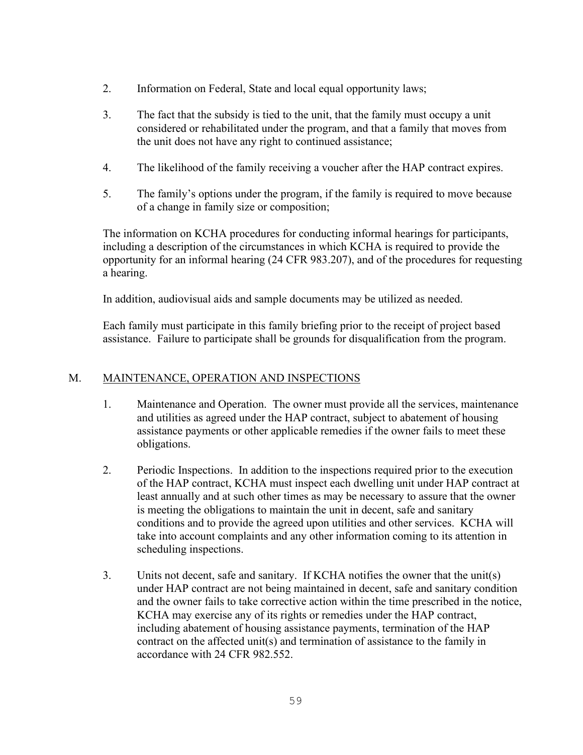- 2. Information on Federal, State and local equal opportunity laws;
- 3. The fact that the subsidy is tied to the unit, that the family must occupy a unit considered or rehabilitated under the program, and that a family that moves from the unit does not have any right to continued assistance;
- 4. The likelihood of the family receiving a voucher after the HAP contract expires.
- 5. The family's options under the program, if the family is required to move because of a change in family size or composition;

The information on KCHA procedures for conducting informal hearings for participants, including a description of the circumstances in which KCHA is required to provide the opportunity for an informal hearing (24 CFR 983.207), and of the procedures for requesting a hearing.

In addition, audiovisual aids and sample documents may be utilized as needed.

Each family must participate in this family briefing prior to the receipt of project based assistance. Failure to participate shall be grounds for disqualification from the program.

### M. MAINTENANCE, OPERATION AND INSPECTIONS

- 1. Maintenance and Operation. The owner must provide all the services, maintenance and utilities as agreed under the HAP contract, subject to abatement of housing assistance payments or other applicable remedies if the owner fails to meet these obligations.
- 2. Periodic Inspections. In addition to the inspections required prior to the execution of the HAP contract, KCHA must inspect each dwelling unit under HAP contract at least annually and at such other times as may be necessary to assure that the owner is meeting the obligations to maintain the unit in decent, safe and sanitary conditions and to provide the agreed upon utilities and other services. KCHA will take into account complaints and any other information coming to its attention in scheduling inspections.
- 3. Units not decent, safe and sanitary. If KCHA notifies the owner that the unit(s) under HAP contract are not being maintained in decent, safe and sanitary condition and the owner fails to take corrective action within the time prescribed in the notice, KCHA may exercise any of its rights or remedies under the HAP contract, including abatement of housing assistance payments, termination of the HAP contract on the affected unit(s) and termination of assistance to the family in accordance with 24 CFR 982.552.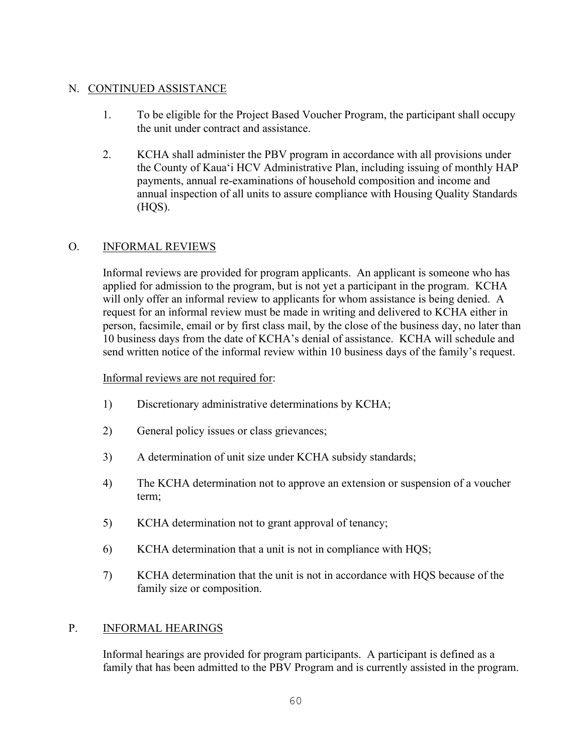# N. CONTINUED ASSISTANCE

- 1. To be eligible for the Project Based Voucher Program, the participant shall occupy the unit under contract and assistance.
- 2. KCHA shall administer the PBV program in accordance with all provisions under the County of Kaua'i HCV Administrative Plan, including issuing of monthly HAP payments, annual re-examinations of household composition and income and annual inspection of all units to assure compliance with Housing Quality Standards (HQS).

# O. INFORMAL REVIEWS

Informal reviews are provided for program applicants. An applicant is someone who has applied for admission to the program, but is not yet a participant in the program. KCHA will only offer an informal review to applicants for whom assistance is being denied. A request for an informal review must be made in writing and delivered to KCHA either in person, facsimile, email or by first class mail, by the close of the business day, no later than 10 business days from the date of KCHA's denial of assistance. KCHA will schedule and send written notice of the informal review within 10 business days of the family's request.

## Informal reviews are not required for:

- 1) Discretionary administrative determinations by KCHA;
- 2) General policy issues or class grievances;
- 3) A determination of unit size under KCHA subsidy standards;
- 4) The KCHA determination not to approve an extension or suspension of a voucher term;
- 5) KCHA determination not to grant approval of tenancy;
- 6) KCHA determination that a unit is not in compliance with HQS;
- 7) KCHA determination that the unit is not in accordance with HQS because of the family size or composition.

### P. INFORMAL HEARINGS

Informal hearings are provided for program participants. A participant is defined as a family that has been admitted to the PBV Program and is currently assisted in the program.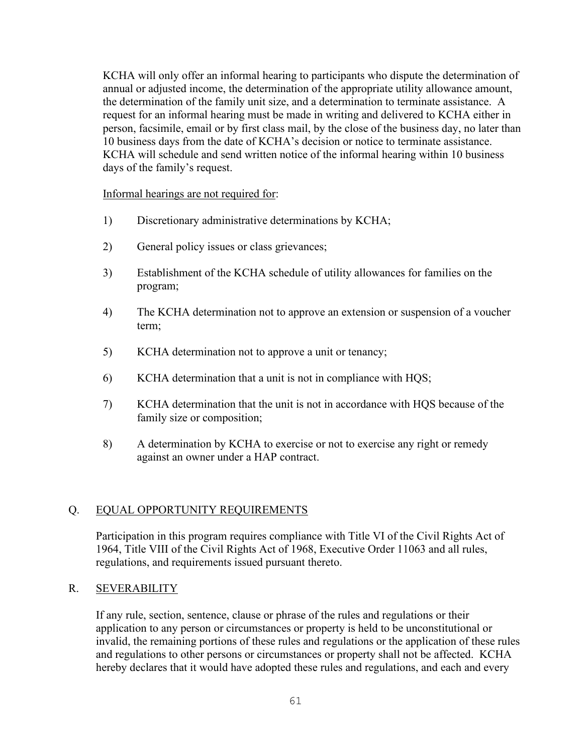KCHA will only offer an informal hearing to participants who dispute the determination of annual or adjusted income, the determination of the appropriate utility allowance amount, the determination of the family unit size, and a determination to terminate assistance. A request for an informal hearing must be made in writing and delivered to KCHA either in person, facsimile, email or by first class mail, by the close of the business day, no later than 10 business days from the date of KCHA's decision or notice to terminate assistance. KCHA will schedule and send written notice of the informal hearing within 10 business days of the family's request.

#### Informal hearings are not required for:

- 1) Discretionary administrative determinations by KCHA;
- 2) General policy issues or class grievances;
- 3) Establishment of the KCHA schedule of utility allowances for families on the program;
- 4) The KCHA determination not to approve an extension or suspension of a voucher term;
- 5) KCHA determination not to approve a unit or tenancy;
- 6) KCHA determination that a unit is not in compliance with HQS;
- 7) KCHA determination that the unit is not in accordance with HQS because of the family size or composition;
- 8) A determination by KCHA to exercise or not to exercise any right or remedy against an owner under a HAP contract.

# Q. EQUAL OPPORTUNITY REQUIREMENTS

Participation in this program requires compliance with Title VI of the Civil Rights Act of 1964, Title VIII of the Civil Rights Act of 1968, Executive Order 11063 and all rules, regulations, and requirements issued pursuant thereto.

## R. SEVERABILITY

If any rule, section, sentence, clause or phrase of the rules and regulations or their application to any person or circumstances or property is held to be unconstitutional or invalid, the remaining portions of these rules and regulations or the application of these rules and regulations to other persons or circumstances or property shall not be affected. KCHA hereby declares that it would have adopted these rules and regulations, and each and every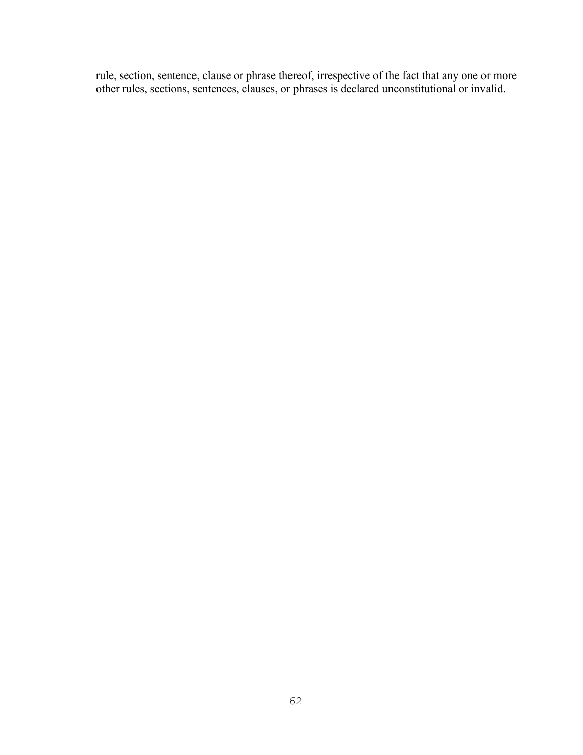rule, section, sentence, clause or phrase thereof, irrespective of the fact that any one or more other rules, sections, sentences, clauses, or phrases is declared unconstitutional or invalid.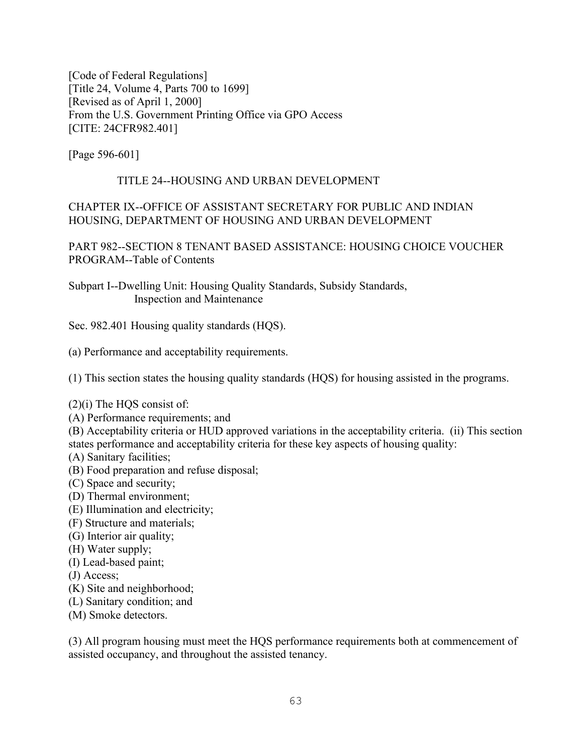[Code of Federal Regulations] [Title 24, Volume 4, Parts 700 to 1699] [Revised as of April 1, 2000] From the U.S. Government Printing Office via GPO Access [CITE: 24CFR982.401]

[Page 596-601]

## TITLE 24--HOUSING AND URBAN DEVELOPMENT

## CHAPTER IX--OFFICE OF ASSISTANT SECRETARY FOR PUBLIC AND INDIAN HOUSING, DEPARTMENT OF HOUSING AND URBAN DEVELOPMENT

PART 982--SECTION 8 TENANT BASED ASSISTANCE: HOUSING CHOICE VOUCHER PROGRAM--Table of Contents

Subpart I--Dwelling Unit: Housing Quality Standards, Subsidy Standards, Inspection and Maintenance

Sec. 982.401 Housing quality standards (HQS).

(a) Performance and acceptability requirements.

(1) This section states the housing quality standards (HQS) for housing assisted in the programs.

### $(2)(i)$  The HOS consist of:

(A) Performance requirements; and

(B) Acceptability criteria or HUD approved variations in the acceptability criteria. (ii) This section states performance and acceptability criteria for these key aspects of housing quality:

(A) Sanitary facilities;

- (B) Food preparation and refuse disposal;
- (C) Space and security;
- (D) Thermal environment;
- (E) Illumination and electricity;
- (F) Structure and materials;
- (G) Interior air quality;
- (H) Water supply;
- (I) Lead-based paint;
- (J) Access;
- (K) Site and neighborhood;
- (L) Sanitary condition; and
- (M) Smoke detectors.

(3) All program housing must meet the HQS performance requirements both at commencement of assisted occupancy, and throughout the assisted tenancy.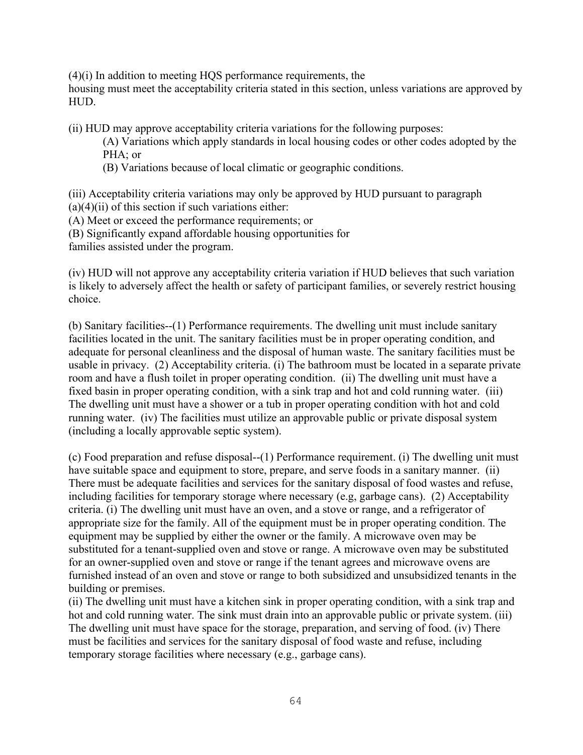(4)(i) In addition to meeting HQS performance requirements, the

housing must meet the acceptability criteria stated in this section, unless variations are approved by HUD.

(ii) HUD may approve acceptability criteria variations for the following purposes:

(A) Variations which apply standards in local housing codes or other codes adopted by the PHA; or

(B) Variations because of local climatic or geographic conditions.

(iii) Acceptability criteria variations may only be approved by HUD pursuant to paragraph  $(a)(4)(ii)$  of this section if such variations either:

(A) Meet or exceed the performance requirements; or

(B) Significantly expand affordable housing opportunities for

families assisted under the program.

(iv) HUD will not approve any acceptability criteria variation if HUD believes that such variation is likely to adversely affect the health or safety of participant families, or severely restrict housing choice.

(b) Sanitary facilities--(1) Performance requirements. The dwelling unit must include sanitary facilities located in the unit. The sanitary facilities must be in proper operating condition, and adequate for personal cleanliness and the disposal of human waste. The sanitary facilities must be usable in privacy. (2) Acceptability criteria. (i) The bathroom must be located in a separate private room and have a flush toilet in proper operating condition. (ii) The dwelling unit must have a fixed basin in proper operating condition, with a sink trap and hot and cold running water. (iii) The dwelling unit must have a shower or a tub in proper operating condition with hot and cold running water. (iv) The facilities must utilize an approvable public or private disposal system (including a locally approvable septic system).

(c) Food preparation and refuse disposal--(1) Performance requirement. (i) The dwelling unit must have suitable space and equipment to store, prepare, and serve foods in a sanitary manner. (ii) There must be adequate facilities and services for the sanitary disposal of food wastes and refuse, including facilities for temporary storage where necessary (e.g, garbage cans). (2) Acceptability criteria. (i) The dwelling unit must have an oven, and a stove or range, and a refrigerator of appropriate size for the family. All of the equipment must be in proper operating condition. The equipment may be supplied by either the owner or the family. A microwave oven may be substituted for a tenant-supplied oven and stove or range. A microwave oven may be substituted for an owner-supplied oven and stove or range if the tenant agrees and microwave ovens are furnished instead of an oven and stove or range to both subsidized and unsubsidized tenants in the building or premises.

(ii) The dwelling unit must have a kitchen sink in proper operating condition, with a sink trap and hot and cold running water. The sink must drain into an approvable public or private system. (iii) The dwelling unit must have space for the storage, preparation, and serving of food. (iv) There must be facilities and services for the sanitary disposal of food waste and refuse, including temporary storage facilities where necessary (e.g., garbage cans).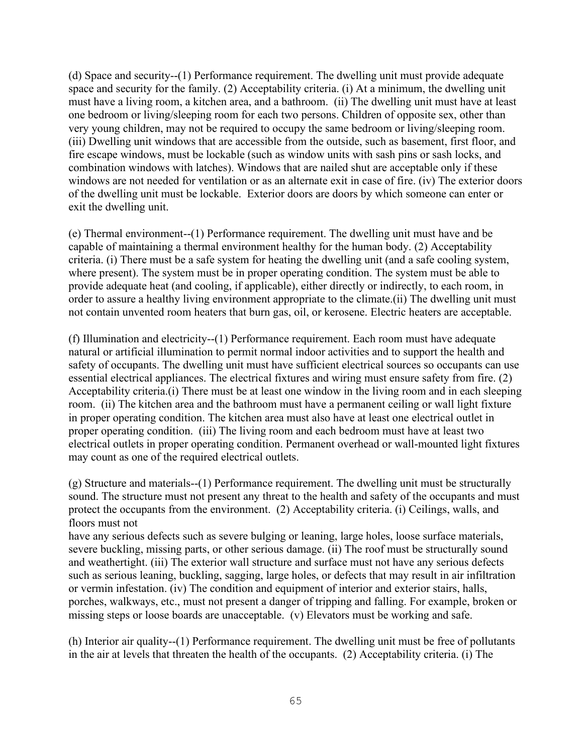(d) Space and security--(1) Performance requirement. The dwelling unit must provide adequate space and security for the family. (2) Acceptability criteria. (i) At a minimum, the dwelling unit must have a living room, a kitchen area, and a bathroom. (ii) The dwelling unit must have at least one bedroom or living/sleeping room for each two persons. Children of opposite sex, other than very young children, may not be required to occupy the same bedroom or living/sleeping room. (iii) Dwelling unit windows that are accessible from the outside, such as basement, first floor, and fire escape windows, must be lockable (such as window units with sash pins or sash locks, and combination windows with latches). Windows that are nailed shut are acceptable only if these windows are not needed for ventilation or as an alternate exit in case of fire. (iv) The exterior doors of the dwelling unit must be lockable. Exterior doors are doors by which someone can enter or exit the dwelling unit.

(e) Thermal environment--(1) Performance requirement. The dwelling unit must have and be capable of maintaining a thermal environment healthy for the human body. (2) Acceptability criteria. (i) There must be a safe system for heating the dwelling unit (and a safe cooling system, where present). The system must be in proper operating condition. The system must be able to provide adequate heat (and cooling, if applicable), either directly or indirectly, to each room, in order to assure a healthy living environment appropriate to the climate.(ii) The dwelling unit must not contain unvented room heaters that burn gas, oil, or kerosene. Electric heaters are acceptable.

(f) Illumination and electricity--(1) Performance requirement. Each room must have adequate natural or artificial illumination to permit normal indoor activities and to support the health and safety of occupants. The dwelling unit must have sufficient electrical sources so occupants can use essential electrical appliances. The electrical fixtures and wiring must ensure safety from fire. (2) Acceptability criteria.(i) There must be at least one window in the living room and in each sleeping room. (ii) The kitchen area and the bathroom must have a permanent ceiling or wall light fixture in proper operating condition. The kitchen area must also have at least one electrical outlet in proper operating condition. (iii) The living room and each bedroom must have at least two electrical outlets in proper operating condition. Permanent overhead or wall-mounted light fixtures may count as one of the required electrical outlets.

(g) Structure and materials--(1) Performance requirement. The dwelling unit must be structurally sound. The structure must not present any threat to the health and safety of the occupants and must protect the occupants from the environment. (2) Acceptability criteria. (i) Ceilings, walls, and floors must not

have any serious defects such as severe bulging or leaning, large holes, loose surface materials, severe buckling, missing parts, or other serious damage. (ii) The roof must be structurally sound and weathertight. (iii) The exterior wall structure and surface must not have any serious defects such as serious leaning, buckling, sagging, large holes, or defects that may result in air infiltration or vermin infestation. (iv) The condition and equipment of interior and exterior stairs, halls, porches, walkways, etc., must not present a danger of tripping and falling. For example, broken or missing steps or loose boards are unacceptable. (v) Elevators must be working and safe.

(h) Interior air quality--(1) Performance requirement. The dwelling unit must be free of pollutants in the air at levels that threaten the health of the occupants. (2) Acceptability criteria. (i) The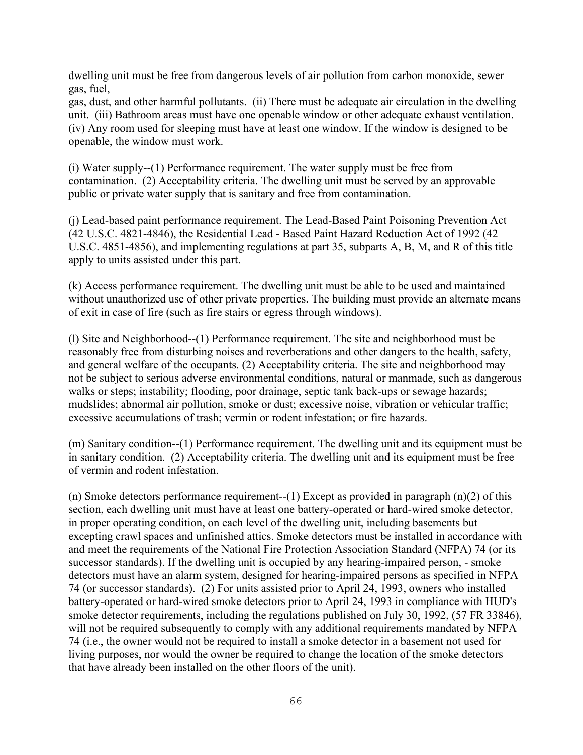dwelling unit must be free from dangerous levels of air pollution from carbon monoxide, sewer gas, fuel,

gas, dust, and other harmful pollutants. (ii) There must be adequate air circulation in the dwelling unit. (iii) Bathroom areas must have one openable window or other adequate exhaust ventilation. (iv) Any room used for sleeping must have at least one window. If the window is designed to be openable, the window must work.

(i) Water supply--(1) Performance requirement. The water supply must be free from contamination. (2) Acceptability criteria. The dwelling unit must be served by an approvable public or private water supply that is sanitary and free from contamination.

(j) Lead-based paint performance requirement. The Lead-Based Paint Poisoning Prevention Act (42 U.S.C. 4821-4846), the Residential Lead - Based Paint Hazard Reduction Act of 1992 (42 U.S.C. 4851-4856), and implementing regulations at part 35, subparts A, B, M, and R of this title apply to units assisted under this part.

(k) Access performance requirement. The dwelling unit must be able to be used and maintained without unauthorized use of other private properties. The building must provide an alternate means of exit in case of fire (such as fire stairs or egress through windows).

(l) Site and Neighborhood--(1) Performance requirement. The site and neighborhood must be reasonably free from disturbing noises and reverberations and other dangers to the health, safety, and general welfare of the occupants. (2) Acceptability criteria. The site and neighborhood may not be subject to serious adverse environmental conditions, natural or manmade, such as dangerous walks or steps; instability; flooding, poor drainage, septic tank back-ups or sewage hazards; mudslides; abnormal air pollution, smoke or dust; excessive noise, vibration or vehicular traffic; excessive accumulations of trash; vermin or rodent infestation; or fire hazards.

(m) Sanitary condition--(1) Performance requirement. The dwelling unit and its equipment must be in sanitary condition. (2) Acceptability criteria. The dwelling unit and its equipment must be free of vermin and rodent infestation.

(n) Smoke detectors performance requirement--(1) Except as provided in paragraph (n)(2) of this section, each dwelling unit must have at least one battery-operated or hard-wired smoke detector, in proper operating condition, on each level of the dwelling unit, including basements but excepting crawl spaces and unfinished attics. Smoke detectors must be installed in accordance with and meet the requirements of the National Fire Protection Association Standard (NFPA) 74 (or its successor standards). If the dwelling unit is occupied by any hearing-impaired person, - smoke detectors must have an alarm system, designed for hearing-impaired persons as specified in NFPA 74 (or successor standards). (2) For units assisted prior to April 24, 1993, owners who installed battery-operated or hard-wired smoke detectors prior to April 24, 1993 in compliance with HUD's smoke detector requirements, including the regulations published on July 30, 1992, (57 FR 33846), will not be required subsequently to comply with any additional requirements mandated by NFPA 74 (i.e., the owner would not be required to install a smoke detector in a basement not used for living purposes, nor would the owner be required to change the location of the smoke detectors that have already been installed on the other floors of the unit).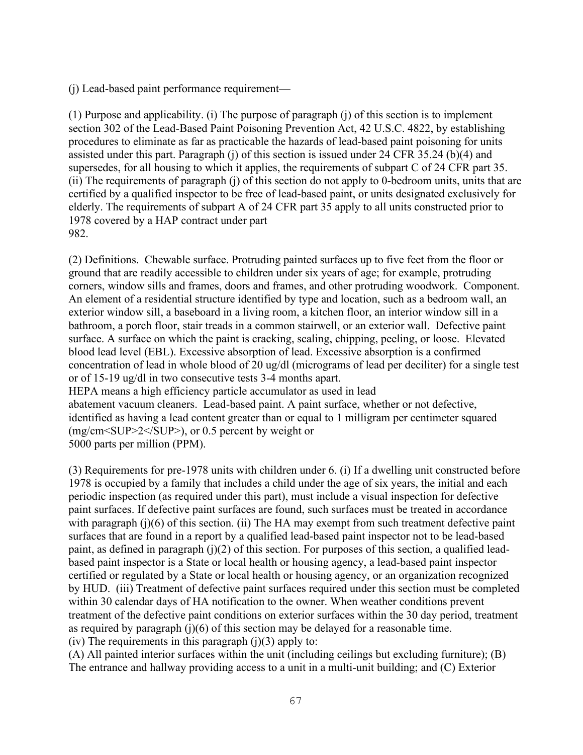(j) Lead-based paint performance requirement—

(1) Purpose and applicability. (i) The purpose of paragraph (j) of this section is to implement section 302 of the Lead-Based Paint Poisoning Prevention Act, 42 U.S.C. 4822, by establishing procedures to eliminate as far as practicable the hazards of lead-based paint poisoning for units assisted under this part. Paragraph (j) of this section is issued under 24 CFR 35.24 (b)(4) and supersedes, for all housing to which it applies, the requirements of subpart C of 24 CFR part 35. (ii) The requirements of paragraph (j) of this section do not apply to 0-bedroom units, units that are certified by a qualified inspector to be free of lead-based paint, or units designated exclusively for elderly. The requirements of subpart A of 24 CFR part 35 apply to all units constructed prior to 1978 covered by a HAP contract under part 982.

(2) Definitions. Chewable surface. Protruding painted surfaces up to five feet from the floor or ground that are readily accessible to children under six years of age; for example, protruding corners, window sills and frames, doors and frames, and other protruding woodwork. Component. An element of a residential structure identified by type and location, such as a bedroom wall, an exterior window sill, a baseboard in a living room, a kitchen floor, an interior window sill in a bathroom, a porch floor, stair treads in a common stairwell, or an exterior wall. Defective paint surface. A surface on which the paint is cracking, scaling, chipping, peeling, or loose. Elevated blood lead level (EBL). Excessive absorption of lead. Excessive absorption is a confirmed concentration of lead in whole blood of 20 ug/dl (micrograms of lead per deciliter) for a single test or of 15-19 ug/dl in two consecutive tests 3-4 months apart. HEPA means a high efficiency particle accumulator as used in lead abatement vacuum cleaners. Lead-based paint. A paint surface, whether or not defective, identified as having a lead content greater than or equal to 1 milligram per centimeter squared (mg/cm<SUP>2</SUP>), or 0.5 percent by weight or 5000 parts per million (PPM).

(3) Requirements for pre-1978 units with children under 6. (i) If a dwelling unit constructed before 1978 is occupied by a family that includes a child under the age of six years, the initial and each periodic inspection (as required under this part), must include a visual inspection for defective paint surfaces. If defective paint surfaces are found, such surfaces must be treated in accordance with paragraph (j)(6) of this section. (ii) The HA may exempt from such treatment defective paint surfaces that are found in a report by a qualified lead-based paint inspector not to be lead-based paint, as defined in paragraph (j)(2) of this section. For purposes of this section, a qualified leadbased paint inspector is a State or local health or housing agency, a lead-based paint inspector certified or regulated by a State or local health or housing agency, or an organization recognized by HUD. (iii) Treatment of defective paint surfaces required under this section must be completed within 30 calendar days of HA notification to the owner. When weather conditions prevent treatment of the defective paint conditions on exterior surfaces within the 30 day period, treatment as required by paragraph  $(j)(6)$  of this section may be delayed for a reasonable time. (iv) The requirements in this paragraph  $(i)(3)$  apply to:

(A) All painted interior surfaces within the unit (including ceilings but excluding furniture); (B) The entrance and hallway providing access to a unit in a multi-unit building; and (C) Exterior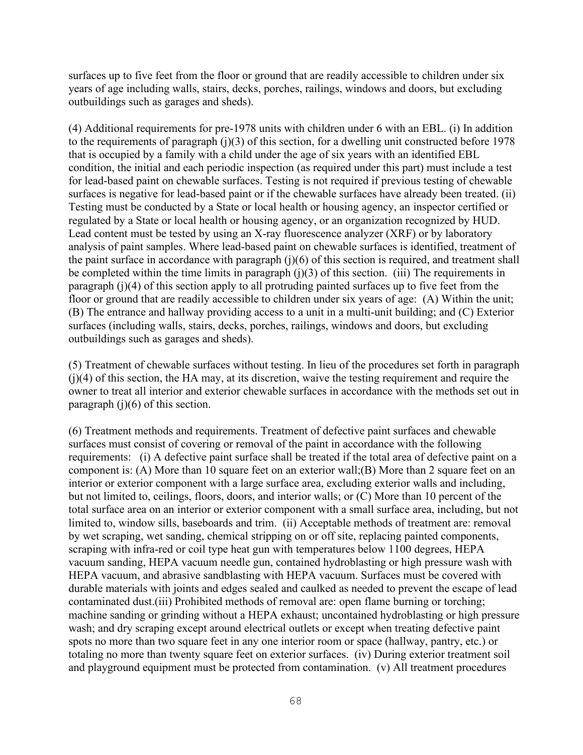surfaces up to five feet from the floor or ground that are readily accessible to children under six years of age including walls, stairs, decks, porches, railings, windows and doors, but excluding outbuildings such as garages and sheds).

(4) Additional requirements for pre-1978 units with children under 6 with an EBL. (i) In addition to the requirements of paragraph (j)(3) of this section, for a dwelling unit constructed before 1978 that is occupied by a family with a child under the age of six years with an identified EBL condition, the initial and each periodic inspection (as required under this part) must include a test for lead-based paint on chewable surfaces. Testing is not required if previous testing of chewable surfaces is negative for lead-based paint or if the chewable surfaces have already been treated. (ii) Testing must be conducted by a State or local health or housing agency, an inspector certified or regulated by a State or local health or housing agency, or an organization recognized by HUD. Lead content must be tested by using an X-ray fluorescence analyzer (XRF) or by laboratory analysis of paint samples. Where lead-based paint on chewable surfaces is identified, treatment of the paint surface in accordance with paragraph  $(i)(6)$  of this section is required, and treatment shall be completed within the time limits in paragraph  $(i)(3)$  of this section. (iii) The requirements in paragraph (j)(4) of this section apply to all protruding painted surfaces up to five feet from the floor or ground that are readily accessible to children under six years of age: (A) Within the unit; (B) The entrance and hallway providing access to a unit in a multi-unit building; and (C) Exterior surfaces (including walls, stairs, decks, porches, railings, windows and doors, but excluding outbuildings such as garages and sheds).

(5) Treatment of chewable surfaces without testing. In lieu of the procedures set forth in paragraph (j)(4) of this section, the HA may, at its discretion, waive the testing requirement and require the owner to treat all interior and exterior chewable surfaces in accordance with the methods set out in paragraph  $(i)(6)$  of this section.

(6) Treatment methods and requirements. Treatment of defective paint surfaces and chewable surfaces must consist of covering or removal of the paint in accordance with the following requirements: (i) A defective paint surface shall be treated if the total area of defective paint on a component is: (A) More than 10 square feet on an exterior wall;(B) More than 2 square feet on an interior or exterior component with a large surface area, excluding exterior walls and including, but not limited to, ceilings, floors, doors, and interior walls; or (C) More than 10 percent of the total surface area on an interior or exterior component with a small surface area, including, but not limited to, window sills, baseboards and trim. (ii) Acceptable methods of treatment are: removal by wet scraping, wet sanding, chemical stripping on or off site, replacing painted components, scraping with infra-red or coil type heat gun with temperatures below 1100 degrees, HEPA vacuum sanding, HEPA vacuum needle gun, contained hydroblasting or high pressure wash with HEPA vacuum, and abrasive sandblasting with HEPA vacuum. Surfaces must be covered with durable materials with joints and edges sealed and caulked as needed to prevent the escape of lead contaminated dust.(iii) Prohibited methods of removal are: open flame burning or torching; machine sanding or grinding without a HEPA exhaust; uncontained hydroblasting or high pressure wash; and dry scraping except around electrical outlets or except when treating defective paint spots no more than two square feet in any one interior room or space (hallway, pantry, etc.) or totaling no more than twenty square feet on exterior surfaces. (iv) During exterior treatment soil and playground equipment must be protected from contamination. (v) All treatment procedures